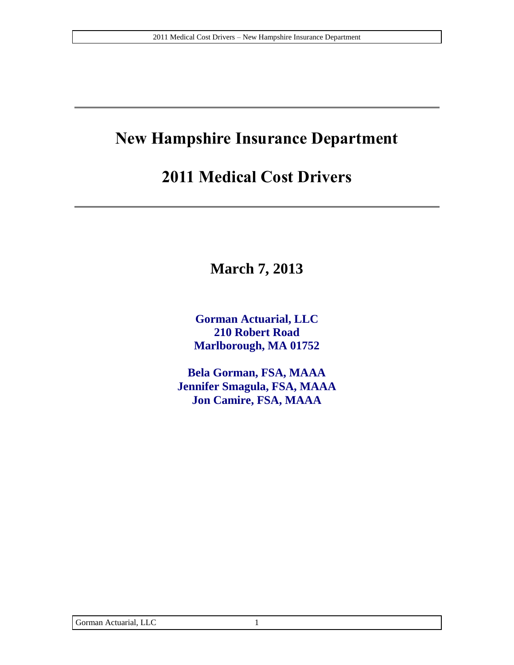# **New Hampshire Insurance Department**

## **2011 Medical Cost Drivers**

**March 7, 2013**

**Gorman Actuarial, LLC 210 Robert Road Marlborough, MA 01752**

**Bela Gorman, FSA, MAAA Jennifer Smagula, FSA, MAAA Jon Camire, FSA, MAAA**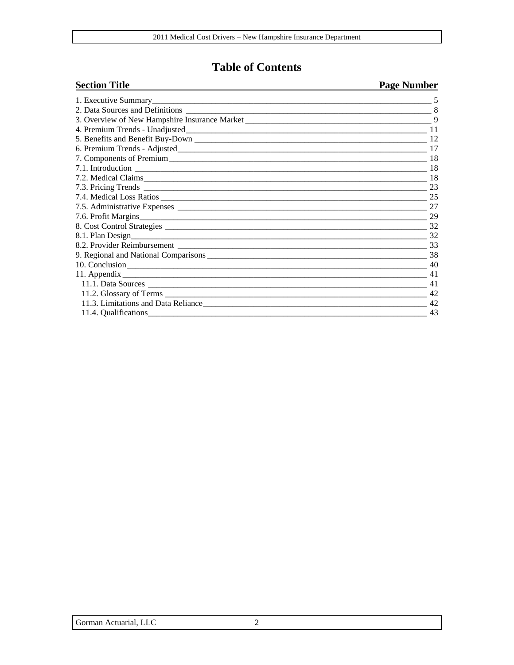#### **Table of Contents**

#### **Section Title Page Number** 1. Executive Summary 5 8  $\overline{9}$ 7. Components of Premium 18 9. Regional and National Comparisons 38 11. Appendix 11.4. Qualifications 43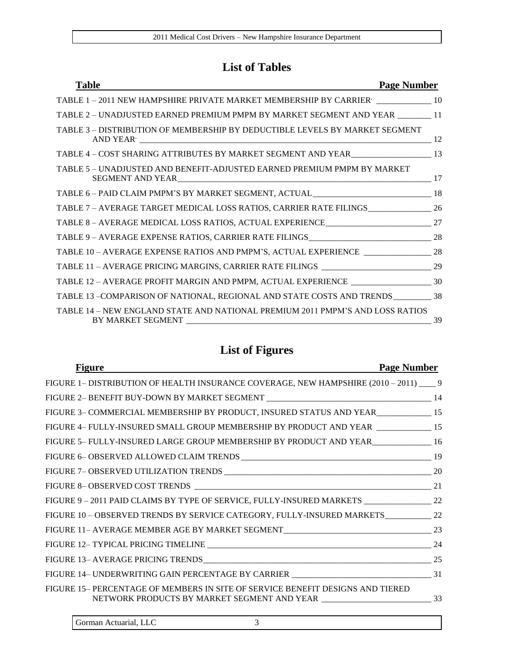### **List of Tables**

| <b>Page Number</b><br><b>Table</b>                                                                 |    |
|----------------------------------------------------------------------------------------------------|----|
| TABLE 1-2011 NEW HAMPSHIRE PRIVATE MARKET MEMBERSHIP BY CARRIER [10] 10                            |    |
| TABLE 2 - UNADJUSTED EARNED PREMIUM PMPM BY MARKET SEGMENT AND YEAR _______ 11                     |    |
| TABLE 3 – DISTRIBUTION OF MEMBERSHIP BY DEDUCTIBLE LEVELS BY MARKET SEGMENT                        | 12 |
| TABLE 4 - COST SHARING ATTRIBUTES BY MARKET SEGMENT AND YEAR_____________________ 13               |    |
| TABLE 5 - UNADJUSTED AND BENEFIT-ADJUSTED EARNED PREMIUM PMPM BY MARKET                            |    |
| TABLE 6 - PAID CLAIM PMPM'S BY MARKET SEGMENT, ACTUAL ___________________________ 18               |    |
| TABLE 7 - AVERAGE TARGET MEDICAL LOSS RATIOS, CARRIER RATE FILINGS_______________ 26               |    |
|                                                                                                    |    |
|                                                                                                    |    |
| TABLE 10 - AVERAGE EXPENSE RATIOS AND PMPM'S, ACTUAL EXPERIENCE _________________ 28               |    |
|                                                                                                    |    |
| TABLE 12 – AVERAGE PROFIT MARGIN AND PMPM, ACTUAL EXPERIENCE _____________________ 30              |    |
| TABLE 13 -COMPARISON OF NATIONAL, REGIONAL AND STATE COSTS AND TRENDS ___________ 38               |    |
| TABLE 14 – NEW ENGLAND STATE AND NATIONAL PREMIUM 2011 PMPM'S AND LOSS RATIOS<br>BY MARKET SEGMENT | 39 |

### **List of Figures**

| <b>Figure</b><br>and the control of the control of the control of the control of the control of the control of the control of the | <b>Page Number</b> |
|-----------------------------------------------------------------------------------------------------------------------------------|--------------------|
| FIGURE 1- DISTRIBUTION OF HEALTH INSURANCE COVERAGE, NEW HAMPSHIRE (2010 – 2011) ____ 9                                           |                    |
|                                                                                                                                   |                    |
| FIGURE 3- COMMERCIAL MEMBERSHIP BY PRODUCT, INSURED STATUS AND YEAR_____________ 15                                               |                    |
| FIGURE 4- FULLY-INSURED SMALL GROUP MEMBERSHIP BY PRODUCT AND YEAR _____________ 15                                               |                    |
| FIGURE 5- FULLY-INSURED LARGE GROUP MEMBERSHIP BY PRODUCT AND YEAR______________ 16                                               |                    |
|                                                                                                                                   |                    |
|                                                                                                                                   |                    |
|                                                                                                                                   |                    |
| FIGURE 9-2011 PAID CLAIMS BY TYPE OF SERVICE, FULLY-INSURED MARKETS ________________ 22                                           |                    |
| FIGURE 10 - OBSERVED TRENDS BY SERVICE CATEGORY, FULLY-INSURED MARKETS___________ 22                                              |                    |
|                                                                                                                                   |                    |
|                                                                                                                                   |                    |
|                                                                                                                                   |                    |
|                                                                                                                                   |                    |
| FIGURE 15-PERCENTAGE OF MEMBERS IN SITE OF SERVICE BENEFIT DESIGNS AND TIERED                                                     |                    |
|                                                                                                                                   |                    |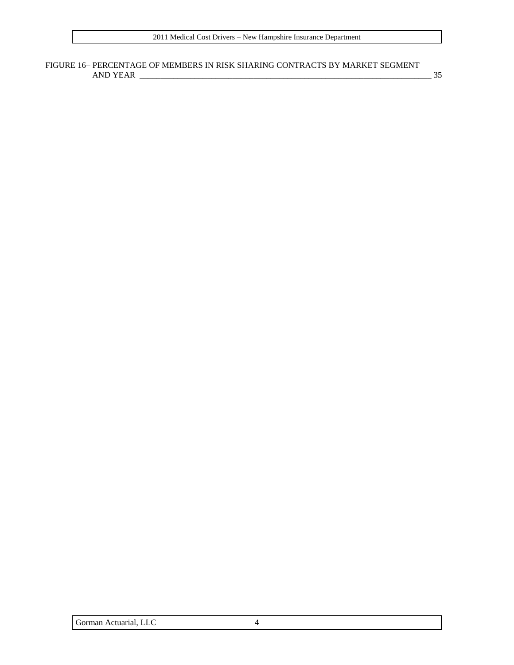#### FIGURE 16– [PERCENTAGE OF MEMBERS IN RISK SHARING CONTRACTS BY MARKET SEGMENT](#page-34-0)  AND YEAR [\\_\\_\\_\\_\\_\\_\\_\\_\\_\\_\\_\\_\\_\\_\\_\\_\\_\\_\\_\\_\\_\\_\\_\\_\\_\\_\\_\\_\\_\\_\\_\\_\\_\\_\\_\\_\\_\\_\\_\\_\\_\\_\\_\\_\\_\\_\\_\\_\\_\\_\\_\\_\\_\\_\\_\\_\\_\\_\\_\\_\\_\\_\\_\\_\\_\\_\\_\\_\\_](#page-34-0) 35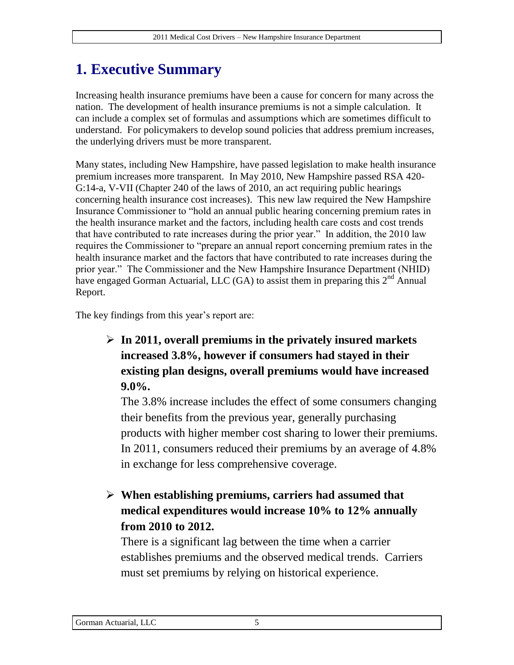## **1. Executive Summary**

Increasing health insurance premiums have been a cause for concern for many across the nation. The development of health insurance premiums is not a simple calculation. It can include a complex set of formulas and assumptions which are sometimes difficult to understand. For policymakers to develop sound policies that address premium increases, the underlying drivers must be more transparent.

Many states, including New Hampshire, have passed legislation to make health insurance premium increases more transparent. In May 2010, New Hampshire passed RSA 420- G:14-a, V-VII (Chapter 240 of the laws of 2010, an act requiring public hearings concerning health insurance cost increases). This new law required the New Hampshire Insurance Commissioner to "hold an annual public hearing concerning premium rates in the health insurance market and the factors, including health care costs and cost trends that have contributed to rate increases during the prior year." In addition, the 2010 law requires the Commissioner to "prepare an annual report concerning premium rates in the health insurance market and the factors that have contributed to rate increases during the prior year." The Commissioner and the New Hampshire Insurance Department (NHID) have engaged Gorman Actuarial, LLC (GA) to assist them in preparing this  $2<sup>nd</sup>$  Annual Report.

The key findings from this year's report are:

#### **In 2011, overall premiums in the privately insured markets increased 3.8%, however if consumers had stayed in their existing plan designs, overall premiums would have increased 9.0%.**

The 3.8% increase includes the effect of some consumers changing their benefits from the previous year, generally purchasing products with higher member cost sharing to lower their premiums. In 2011, consumers reduced their premiums by an average of 4.8% in exchange for less comprehensive coverage.

#### **When establishing premiums, carriers had assumed that medical expenditures would increase 10% to 12% annually from 2010 to 2012.**

There is a significant lag between the time when a carrier establishes premiums and the observed medical trends. Carriers must set premiums by relying on historical experience.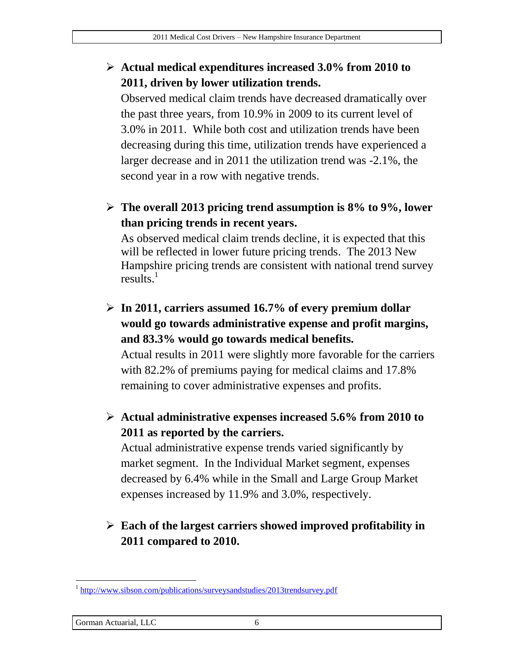#### **Actual medical expenditures increased 3.0% from 2010 to 2011, driven by lower utilization trends.**

Observed medical claim trends have decreased dramatically over the past three years, from 10.9% in 2009 to its current level of 3.0% in 2011. While both cost and utilization trends have been decreasing during this time, utilization trends have experienced a larger decrease and in 2011 the utilization trend was -2.1%, the second year in a row with negative trends.

 **The overall 2013 pricing trend assumption is 8% to 9%, lower than pricing trends in recent years.**

As observed medical claim trends decline, it is expected that this will be reflected in lower future pricing trends. The 2013 New Hampshire pricing trends are consistent with national trend survey results. $<sup>1</sup>$ </sup>

- **In 2011, carriers assumed 16.7% of every premium dollar would go towards administrative expense and profit margins, and 83.3% would go towards medical benefits.**  Actual results in 2011 were slightly more favorable for the carriers with 82.2% of premiums paying for medical claims and 17.8% remaining to cover administrative expenses and profits.
- **Actual administrative expenses increased 5.6% from 2010 to 2011 as reported by the carriers.**

Actual administrative expense trends varied significantly by market segment. In the Individual Market segment, expenses decreased by 6.4% while in the Small and Large Group Market expenses increased by 11.9% and 3.0%, respectively.

### **Each of the largest carriers showed improved profitability in 2011 compared to 2010.**

#### Gorman Actuarial, LLC 6

 $\overline{a}$ <sup>1</sup> <http://www.sibson.com/publications/surveysandstudies/2013trendsurvey.pdf>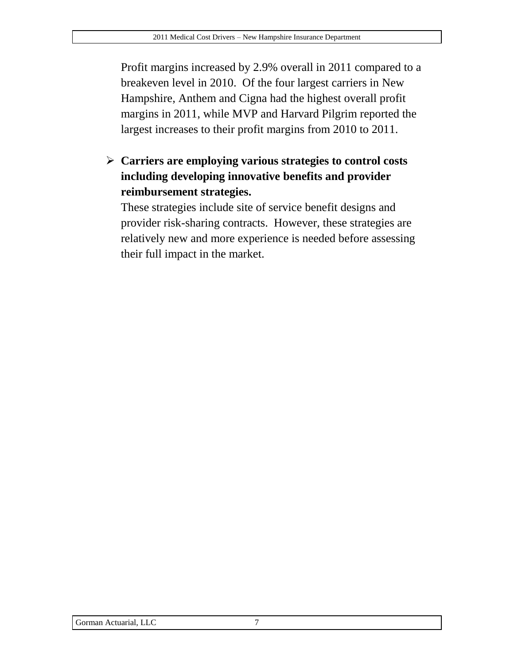Profit margins increased by 2.9% overall in 2011 compared to a breakeven level in 2010. Of the four largest carriers in New Hampshire, Anthem and Cigna had the highest overall profit margins in 2011, while MVP and Harvard Pilgrim reported the largest increases to their profit margins from 2010 to 2011.

 **Carriers are employing various strategies to control costs including developing innovative benefits and provider reimbursement strategies.**

These strategies include site of service benefit designs and provider risk-sharing contracts. However, these strategies are relatively new and more experience is needed before assessing their full impact in the market.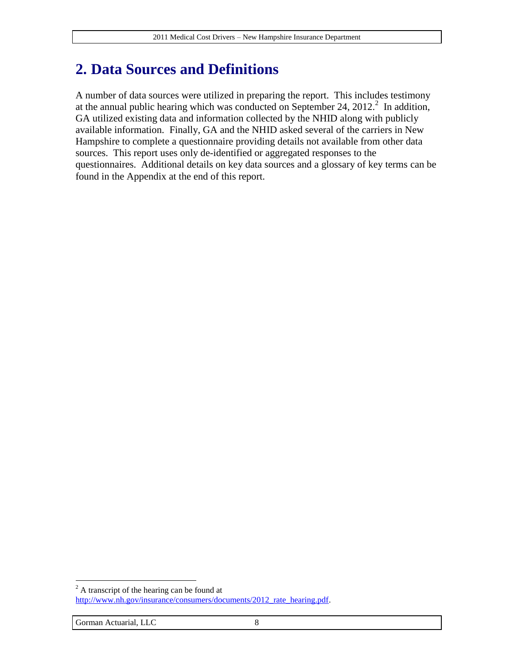## **2. Data Sources and Definitions**

A number of data sources were utilized in preparing the report. This includes testimony at the annual public hearing which was conducted on September 24,  $2012$ .<sup>2</sup> In addition, GA utilized existing data and information collected by the NHID along with publicly available information. Finally, GA and the NHID asked several of the carriers in New Hampshire to complete a questionnaire providing details not available from other data sources. This report uses only de-identified or aggregated responses to the questionnaires. Additional details on key data sources and a glossary of key terms can be found in the Appendix at the end of this report.

 $\overline{a}$  $2^{2}$  A transcript of the hearing can be found at http://www.nh.gov/insurance/consumers/documents/2012 rate\_hearing.pdf.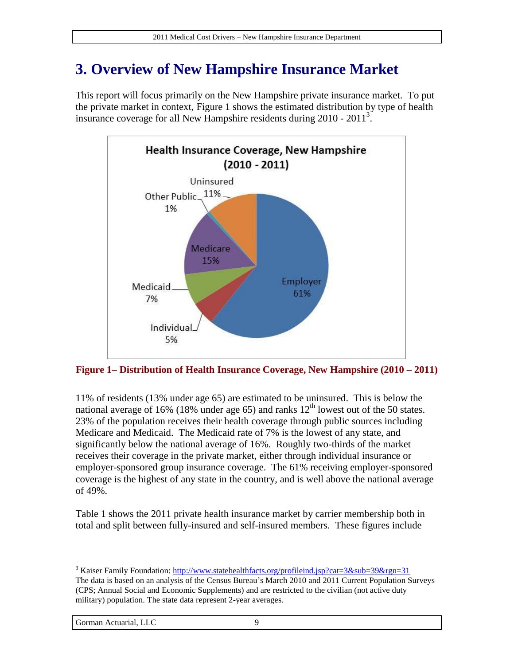## **3. Overview of New Hampshire Insurance Market**

This report will focus primarily on the New Hampshire private insurance market. To put the private market in context, [Figure 1](#page-8-0) shows the estimated distribution by type of health insurance coverage for all New Hampshire residents during  $2010 - 2011^3$ .



<span id="page-8-0"></span>**Figure 1– Distribution of Health Insurance Coverage, New Hampshire (2010 – 2011)**

11% of residents (13% under age 65) are estimated to be uninsured. This is below the national average of 16% (18% under age 65) and ranks  $12<sup>th</sup>$  lowest out of the 50 states. 23% of the population receives their health coverage through public sources including Medicare and Medicaid. The Medicaid rate of 7% is the lowest of any state, and significantly below the national average of 16%. Roughly two-thirds of the market receives their coverage in the private market, either through individual insurance or employer-sponsored group insurance coverage. The 61% receiving employer-sponsored coverage is the highest of any state in the country, and is well above the national average of 49%.

[Table 1](#page-9-0) shows the 2011 private health insurance market by carrier membership both in total and split between fully-insured and self-insured members. These figures include

<sup>&</sup>lt;sup>3</sup> Kaiser Family Foundation:<http://www.statehealthfacts.org/profileind.jsp?cat=3&sub=39&rgn=31> The data is based on an analysis of the Census Bureau's March 2010 and 2011 Current Population Surveys (CPS; Annual Social and Economic Supplements) and are restricted to the civilian (not active duty military) population. The state data represent 2-year averages.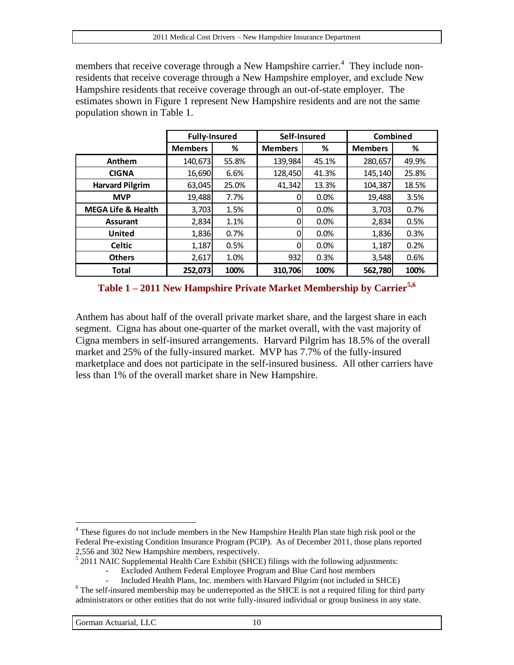members that receive coverage through a New Hampshire carrier.<sup>4</sup> They include nonresidents that receive coverage through a New Hampshire employer, and exclude New Hampshire residents that receive coverage through an out-of-state employer. The estimates shown in [Figure 1](#page-8-0) represent New Hampshire residents and are not the same population shown in [Table 1.](#page-9-0)

|                               | <b>Fully-Insured</b> |       | Self-Insured   |       | Combined       |       |
|-------------------------------|----------------------|-------|----------------|-------|----------------|-------|
|                               | <b>Members</b>       | ℅     | <b>Members</b> | %     | <b>Members</b> | ℅     |
| Anthem                        | 140,673              | 55.8% | 139,984        | 45.1% | 280,657        | 49.9% |
| <b>CIGNA</b>                  | 16,690               | 6.6%  | 128,450        | 41.3% | 145,140        | 25.8% |
| <b>Harvard Pilgrim</b>        | 63,045               | 25.0% | 41,342         | 13.3% | 104,387        | 18.5% |
| <b>MVP</b>                    | 19,488               | 7.7%  |                | 0.0%  | 19,488         | 3.5%  |
| <b>MEGA Life &amp; Health</b> | 3,703                | 1.5%  | 0              | 0.0%  | 3,703          | 0.7%  |
| <b>Assurant</b>               | 2,834                | 1.1%  | 0              | 0.0%  | 2,834          | 0.5%  |
| <b>United</b>                 | 1,836                | 0.7%  | 0              | 0.0%  | 1,836          | 0.3%  |
| <b>Celtic</b>                 | 1,187                | 0.5%  | 0              | 0.0%  | 1,187          | 0.2%  |
| <b>Others</b>                 | 2,617                | 1.0%  | 932            | 0.3%  | 3,548          | 0.6%  |
| <b>Total</b>                  | 252,073              | 100%  | 310,706        | 100%  | 562,780        | 100%  |

<span id="page-9-0"></span>**Table 1 – 2011 New Hampshire Private Market Membership by Carrier5,6**

Anthem has about half of the overall private market share, and the largest share in each segment. Cigna has about one-quarter of the market overall, with the vast majority of Cigna members in self-insured arrangements. Harvard Pilgrim has 18.5% of the overall market and 25% of the fully-insured market. MVP has 7.7% of the fully-insured marketplace and does not participate in the self-insured business. All other carriers have less than 1% of the overall market share in New Hampshire.

 $4$  These figures do not include members in the New Hampshire Health Plan state high risk pool or the Federal Pre-existing Condition Insurance Program (PCIP). As of December 2011, those plans reported 2,556 and 302 New Hampshire members, respectively.

<sup>&</sup>lt;sup>5</sup> 2011 NAIC Supplemental Health Care Exhibit (SHCE) filings with the following adjustments:

<sup>-</sup> Excluded Anthem Federal Employee Program and Blue Card host members

<sup>-</sup> Included Health Plans, Inc. members with Harvard Pilgrim (not included in SHCE)

<sup>6</sup> The self-insured membership may be underreported as the SHCE is not a required filing for third party administrators or other entities that do not write fully-insured individual or group business in any state.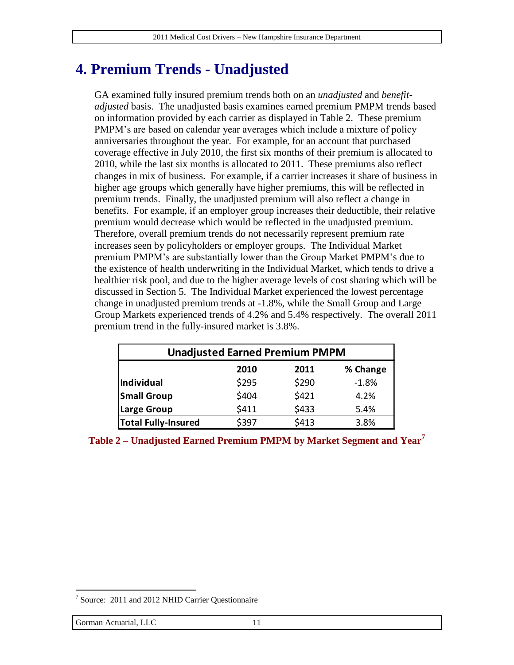### **4. Premium Trends - Unadjusted**

GA examined fully insured premium trends both on an *unadjusted* and *benefitadjusted* basis. The unadjusted basis examines earned premium PMPM trends based on information provided by each carrier as displayed in [Table 2.](#page-10-0) These premium PMPM's are based on calendar year averages which include a mixture of policy anniversaries throughout the year. For example, for an account that purchased coverage effective in July 2010, the first six months of their premium is allocated to 2010, while the last six months is allocated to 2011. These premiums also reflect changes in mix of business. For example, if a carrier increases it share of business in higher age groups which generally have higher premiums, this will be reflected in premium trends. Finally, the unadjusted premium will also reflect a change in benefits. For example, if an employer group increases their deductible, their relative premium would decrease which would be reflected in the unadjusted premium. Therefore, overall premium trends do not necessarily represent premium rate increases seen by policyholders or employer groups. The Individual Market premium PMPM's are substantially lower than the Group Market PMPM's due to the existence of health underwriting in the Individual Market, which tends to drive a healthier risk pool, and due to the higher average levels of cost sharing which will be discussed in Section [5.](#page-11-0) The Individual Market experienced the lowest percentage change in unadjusted premium trends at -1.8%, while the Small Group and Large Group Markets experienced trends of 4.2% and 5.4% respectively. The overall 2011 premium trend in the fully-insured market is 3.8%.

| <b>Unadjusted Earned Premium PMPM</b> |       |       |         |  |  |  |
|---------------------------------------|-------|-------|---------|--|--|--|
| % Change<br>2010<br>2011              |       |       |         |  |  |  |
| Individual                            | \$295 | \$290 | $-1.8%$ |  |  |  |
| <b>Small Group</b>                    | \$404 | \$421 | 4.2%    |  |  |  |
| <b>Large Group</b>                    | \$411 | \$433 | 5.4%    |  |  |  |
| <b>Total Fully-Insured</b>            | \$397 | \$413 | 3.8%    |  |  |  |

<span id="page-10-0"></span>

|  | Table 2 – Unadjusted Earned Premium PMPM by Market Segment and Year' |
|--|----------------------------------------------------------------------|
|--|----------------------------------------------------------------------|

<sup>&</sup>lt;sup>7</sup> Source: 2011 and 2012 NHID Carrier Questionnaire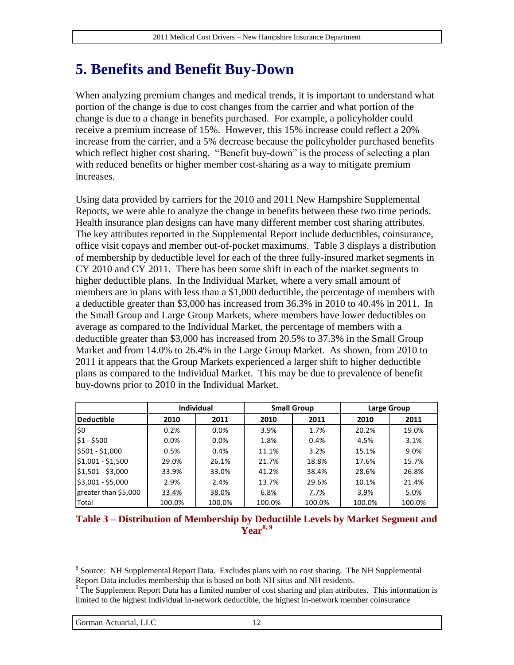## <span id="page-11-0"></span>**5. Benefits and Benefit Buy-Down**

When analyzing premium changes and medical trends, it is important to understand what portion of the change is due to cost changes from the carrier and what portion of the change is due to a change in benefits purchased. For example, a policyholder could receive a premium increase of 15%. However, this 15% increase could reflect a 20% increase from the carrier, and a 5% decrease because the policyholder purchased benefits which reflect higher cost sharing. "Benefit buy-down" is the process of selecting a plan with reduced benefits or higher member cost-sharing as a way to mitigate premium increases.

Using data provided by carriers for the 2010 and 2011 New Hampshire Supplemental Reports, we were able to analyze the change in benefits between these two time periods. Health insurance plan designs can have many different member cost sharing attributes. The key attributes reported in the Supplemental Report include deductibles, coinsurance, office visit copays and member out-of-pocket maximums. [Table 3](#page-11-1) displays a distribution of membership by deductible level for each of the three fully-insured market segments in CY 2010 and CY 2011. There has been some shift in each of the market segments to higher deductible plans. In the Individual Market, where a very small amount of members are in plans with less than a \$1,000 deductible, the percentage of members with a deductible greater than \$3,000 has increased from 36.3% in 2010 to 40.4% in 2011. In the Small Group and Large Group Markets, where members have lower deductibles on average as compared to the Individual Market, the percentage of members with a deductible greater than \$3,000 has increased from 20.5% to 37.3% in the Small Group Market and from 14.0% to 26.4% in the Large Group Market. As shown, from 2010 to 2011 it appears that the Group Markets experienced a larger shift to higher deductible plans as compared to the Individual Market. This may be due to prevalence of benefit buy-downs prior to 2010 in the Individual Market.

|                      |        | <b>Individual</b> |        | <b>Small Group</b> |        | Large Group |
|----------------------|--------|-------------------|--------|--------------------|--------|-------------|
| Deductible           | 2010   | 2011              | 2010   | 2011               | 2010   | 2011        |
| \$0                  | 0.2%   | 0.0%              | 3.9%   | 1.7%               | 20.2%  | 19.0%       |
| $$1 - $500$          | 0.0%   | 0.0%              | 1.8%   | 0.4%               | 4.5%   | 3.1%        |
| \$501 - \$1,000      | 0.5%   | 0.4%              | 11.1%  | 3.2%               | 15.1%  | 9.0%        |
| $$1,001 - $1,500$    | 29.0%  | 26.1%             | 21.7%  | 18.8%              | 17.6%  | 15.7%       |
| $$1,501 - $3,000$    | 33.9%  | 33.0%             | 41.2%  | 38.4%              | 28.6%  | 26.8%       |
| $$3,001 - $5,000$    | 2.9%   | 2.4%              | 13.7%  | 29.6%              | 10.1%  | 21.4%       |
| greater than \$5,000 | 33.4%  | 38.0%             | 6.8%   | 7.7%               | 3.9%   | 5.0%        |
| Total                | 100.0% | 100.0%            | 100.0% | 100.0%             | 100.0% | 100.0%      |

#### <span id="page-11-1"></span>**Table 3 – Distribution of Membership by Deductible Levels by Market Segment and Year8, 9**

<sup>&</sup>lt;sup>8</sup> Source: NH Supplemental Report Data. Excludes plans with no cost sharing. The NH Supplemental Report Data includes membership that is based on both NH situs and NH residents.

<sup>&</sup>lt;sup>9</sup> The Supplement Report Data has a limited number of cost sharing and plan attributes. This information is limited to the highest individual in-network deductible, the highest in-network member coinsurance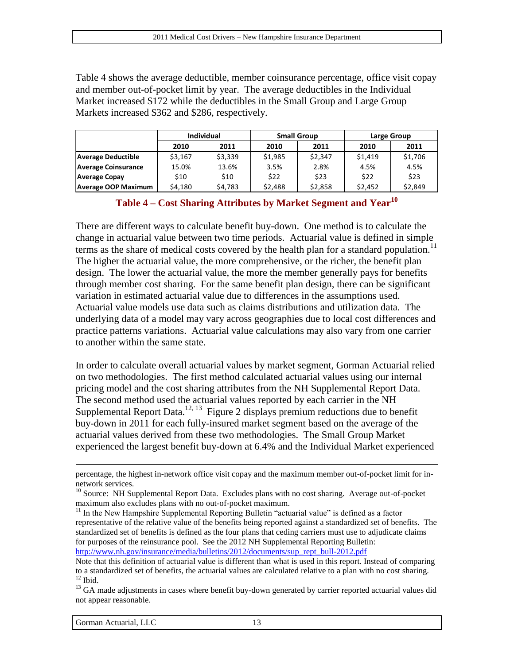[Table 4](#page-12-0) shows the average deductible, member coinsurance percentage, office visit copay and member out-of-pocket limit by year. The average deductibles in the Individual Market increased \$172 while the deductibles in the Small Group and Large Group Markets increased \$362 and \$286, respectively.

|                            | <b>Individual</b> |         | <b>Small Group</b> |         | Large Group |         |
|----------------------------|-------------------|---------|--------------------|---------|-------------|---------|
|                            | 2010              | 2011    | 2010               | 2011    | 2010        | 2011    |
| <b>Average Deductible</b>  | \$3.167           | \$3.339 | \$1.985            | \$2.347 | \$1.419     | \$1,706 |
| <b>Average Coinsurance</b> | 15.0%             | 13.6%   | 3.5%               | 2.8%    | 4.5%        | 4.5%    |
| <b>Average Copay</b>       | \$10              | \$10    | \$22               | \$23    | \$22        | \$23    |
| <b>Average OOP Maximum</b> | \$4,180           | \$4,783 | \$2,488            | \$2,858 | \$2,452     | \$2,849 |

#### **Table 4 – Cost Sharing Attributes by Market Segment and Year<sup>10</sup>**

<span id="page-12-0"></span>There are different ways to calculate benefit buy-down. One method is to calculate the change in actuarial value between two time periods. Actuarial value is defined in simple terms as the share of medical costs covered by the health plan for a standard population.<sup>11</sup> The higher the actuarial value, the more comprehensive, or the richer, the benefit plan design. The lower the actuarial value, the more the member generally pays for benefits through member cost sharing. For the same benefit plan design, there can be significant variation in estimated actuarial value due to differences in the assumptions used. Actuarial value models use data such as claims distributions and utilization data. The underlying data of a model may vary across geographies due to local cost differences and practice patterns variations. Actuarial value calculations may also vary from one carrier to another within the same state.

In order to calculate overall actuarial values by market segment, Gorman Actuarial relied on two methodologies. The first method calculated actuarial values using our internal pricing model and the cost sharing attributes from the NH Supplemental Report Data. The second method used the actuarial values reported by each carrier in the NH Supplemental Report Data.<sup>12, 13</sup> [Figure 2](#page-13-0) displays premium reductions due to benefit buy-down in 2011 for each fully-insured market segment based on the average of the actuarial values derived from these two methodologies. The Small Group Market experienced the largest benefit buy-down at 6.4% and the Individual Market experienced

 $11$  In the New Hampshire Supplemental Reporting Bulletin "actuarial value" is defined as a factor representative of the relative value of the benefits being reported against a standardized set of benefits. The standardized set of benefits is defined as the four plans that ceding carriers must use to adjudicate claims for purposes of the reinsurance pool. See the 2012 NH Supplemental Reporting Bulletin: [http://www.nh.gov/insurance/media/bulletins/2012/documents/sup\\_rept\\_bull-2012.pdf](http://www.nh.gov/insurance/media/bulletins/2012/documents/sup_rept_bull-2012.pdf)

percentage, the highest in-network office visit copay and the maximum member out-of-pocket limit for innetwork services.

<sup>&</sup>lt;sup>10</sup> Source: NH Supplemental Report Data. Excludes plans with no cost sharing. Average out-of-pocket maximum also excludes plans with no out-of-pocket maximum.

Note that this definition of actuarial value is different than what is used in this report. Instead of comparing to a standardized set of benefits, the actuarial values are calculated relative to a plan with no cost sharing.  $12$  Ibid.

<sup>&</sup>lt;sup>13</sup> GA made adjustments in cases where benefit buy-down generated by carrier reported actuarial values did not appear reasonable.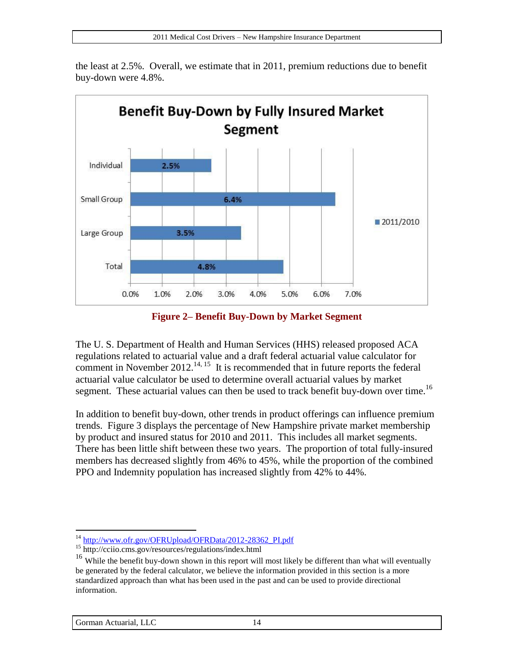

the least at 2.5%. Overall, we estimate that in 2011, premium reductions due to benefit buy-down were 4.8%.

**Figure 2– Benefit Buy-Down by Market Segment**

<span id="page-13-0"></span>The U. S. Department of Health and Human Services (HHS) released proposed ACA regulations related to actuarial value and a draft federal actuarial value calculator for comment in November  $2012$ <sup>14, 15</sup> It is recommended that in future reports the federal actuarial value calculator be used to determine overall actuarial values by market segment. These actuarial values can then be used to track benefit buy-down over time.<sup>16</sup>

In addition to benefit buy-down, other trends in product offerings can influence premium trends. [Figure 3](#page-14-0) displays the percentage of New Hampshire private market membership by product and insured status for 2010 and 2011. This includes all market segments. There has been little shift between these two years. The proportion of total fully-insured members has decreased slightly from 46% to 45%, while the proportion of the combined PPO and Indemnity population has increased slightly from 42% to 44%.

<sup>&</sup>lt;sup>14</sup> [http://www.ofr.gov/OFRUpload/OFRData/2012-28362\\_PI.pdf](http://www.ofr.gov/OFRUpload/OFRData/2012-28362_PI.pdf)

<sup>15</sup> http://cciio.cms.gov/resources/regulations/index.html

<sup>&</sup>lt;sup>16</sup> While the benefit buy-down shown in this report will most likely be different than what will eventually be generated by the federal calculator, we believe the information provided in this section is a more standardized approach than what has been used in the past and can be used to provide directional information.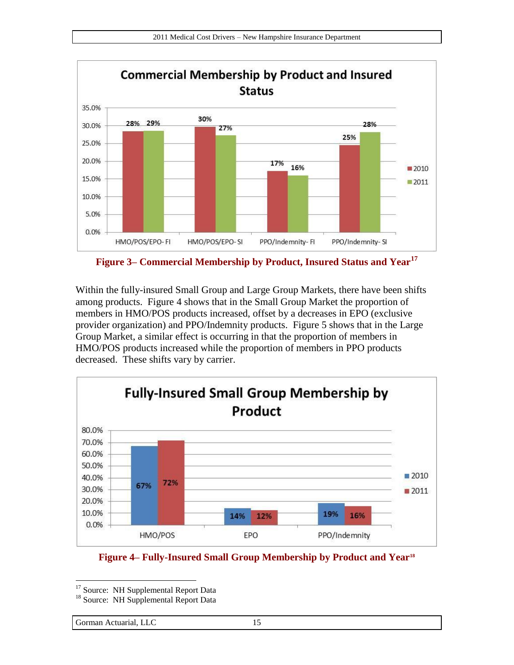

<span id="page-14-0"></span>**Figure 3– Commercial Membership by Product, Insured Status and Year<sup>17</sup>**

Within the fully-insured Small Group and Large Group Markets, there have been shifts among products. [Figure 4](#page-14-1) shows that in the Small Group Market the proportion of members in HMO/POS products increased, offset by a decreases in EPO (exclusive provider organization) and PPO/Indemnity products. [Figure 5](#page-15-0) shows that in the Large Group Market, a similar effect is occurring in that the proportion of members in HMO/POS products increased while the proportion of members in PPO products decreased. These shifts vary by carrier.



<span id="page-14-1"></span>**Figure 4– Fully-Insured Small Group Membership by Product and Year<sup>18</sup>**

 $\overline{a}$ <sup>17</sup> Source: NH Supplemental Report Data

<sup>&</sup>lt;sup>18</sup> Source: NH Supplemental Report Data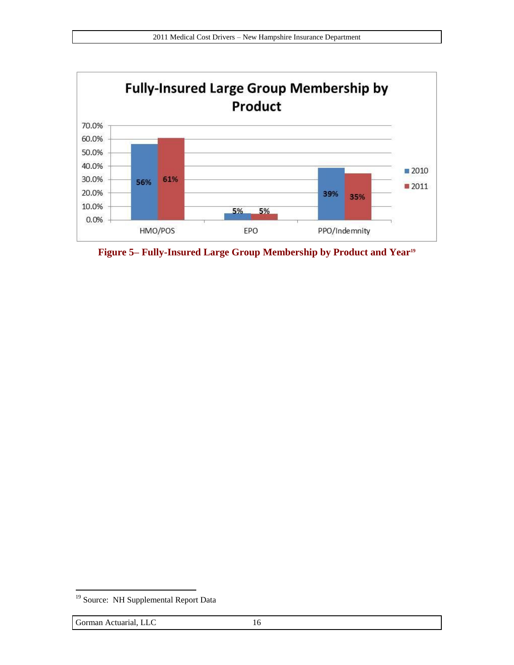

<span id="page-15-0"></span>**Figure 5– Fully-Insured Large Group Membership by Product and Year<sup>19</sup>**

<sup>&</sup>lt;sup>19</sup> Source: NH Supplemental Report Data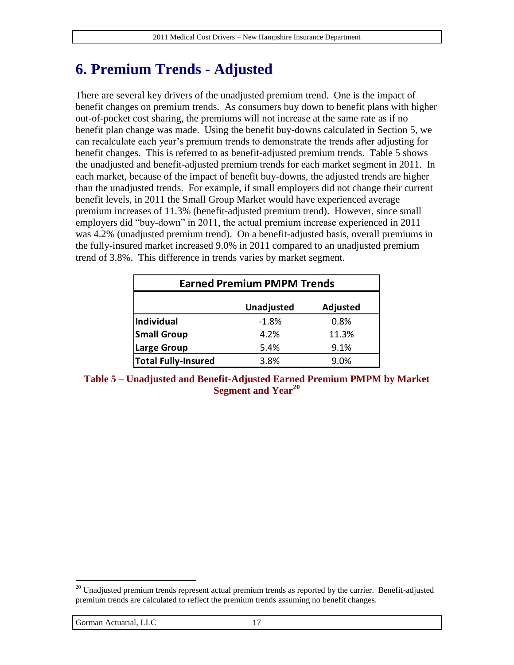## **6. Premium Trends - Adjusted**

There are several key drivers of the unadjusted premium trend. One is the impact of benefit changes on premium trends. As consumers buy down to benefit plans with higher out-of-pocket cost sharing, the premiums will not increase at the same rate as if no benefit plan change was made. Using the benefit buy-downs calculated in Section [5,](#page-11-0) we can recalculate each year's premium trends to demonstrate the trends after adjusting for benefit changes. This is referred to as benefit-adjusted premium trends. [Table 5](#page-16-0) shows the unadjusted and benefit-adjusted premium trends for each market segment in 2011. In each market, because of the impact of benefit buy-downs, the adjusted trends are higher than the unadjusted trends. For example, if small employers did not change their current benefit levels, in 2011 the Small Group Market would have experienced average premium increases of 11.3% (benefit-adjusted premium trend). However, since small employers did "buy-down" in 2011, the actual premium increase experienced in 2011 was 4.2% (unadjusted premium trend). On a benefit-adjusted basis, overall premiums in the fully-insured market increased 9.0% in 2011 compared to an unadjusted premium trend of 3.8%. This difference in trends varies by market segment.

| <b>Earned Premium PMPM Trends</b> |         |       |  |  |  |
|-----------------------------------|---------|-------|--|--|--|
| Adjusted<br>Unadjusted            |         |       |  |  |  |
| Individual                        | $-1.8%$ | 0.8%  |  |  |  |
| <b>Small Group</b>                | 4.2%    | 11.3% |  |  |  |
| <b>Large Group</b>                | 5.4%    | 9.1%  |  |  |  |
| <b>Total Fully-Insured</b>        | 3.8%    | 9.0%  |  |  |  |

<span id="page-16-0"></span>**Table 5 – Unadjusted and Benefit-Adjusted Earned Premium PMPM by Market Segment and Year<sup>20</sup>**

 $20$  Unadjusted premium trends represent actual premium trends as reported by the carrier. Benefit-adjusted premium trends are calculated to reflect the premium trends assuming no benefit changes.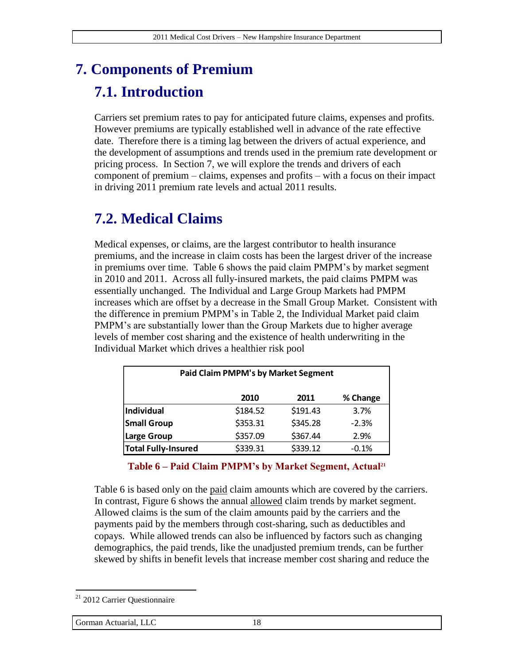# <span id="page-17-0"></span>**7. Components of Premium 7.1. Introduction**

Carriers set premium rates to pay for anticipated future claims, expenses and profits. However premiums are typically established well in advance of the rate effective date. Therefore there is a timing lag between the drivers of actual experience, and the development of assumptions and trends used in the premium rate development or pricing process. In Section [7,](#page-17-0) we will explore the trends and drivers of each component of premium – claims, expenses and profits – with a focus on their impact in driving 2011 premium rate levels and actual 2011 results.

## **7.2. Medical Claims**

Medical expenses, or claims, are the largest contributor to health insurance premiums, and the increase in claim costs has been the largest driver of the increase in premiums over time. [Table 6](#page-17-1) shows the paid claim PMPM's by market segment in 2010 and 2011. Across all fully-insured markets, the paid claims PMPM was essentially unchanged. The Individual and Large Group Markets had PMPM increases which are offset by a decrease in the Small Group Market. Consistent with the difference in premium PMPM's in [Table 2,](#page-10-0) the Individual Market paid claim PMPM's are substantially lower than the Group Markets due to higher average levels of member cost sharing and the existence of health underwriting in the Individual Market which drives a healthier risk pool

| <b>Paid Claim PMPM's by Market Segment</b> |          |          |          |  |  |
|--------------------------------------------|----------|----------|----------|--|--|
|                                            | 2010     | 2011     | % Change |  |  |
| Individual                                 | \$184.52 | \$191.43 | 3.7%     |  |  |
| <b>Small Group</b>                         | \$353.31 | \$345.28 | $-2.3%$  |  |  |
| <b>Large Group</b>                         | \$357.09 | \$367.44 | 2.9%     |  |  |
| <b>Total Fully-Insured</b>                 | \$339.31 | \$339.12 | $-0.1%$  |  |  |

#### **Table 6 – Paid Claim PMPM's by Market Segment, Actual<sup>21</sup>**

<span id="page-17-1"></span>[Table 6](#page-17-1) is based only on the paid claim amounts which are covered by the carriers. In contrast, [Figure 6](#page-18-0) shows the annual allowed claim trends by market segment. Allowed claims is the sum of the claim amounts paid by the carriers and the payments paid by the members through cost-sharing, such as deductibles and copays. While allowed trends can also be influenced by factors such as changing demographics, the paid trends, like the unadjusted premium trends, can be further skewed by shifts in benefit levels that increase member cost sharing and reduce the

<sup>&</sup>lt;sup>21</sup> 2012 Carrier Questionnaire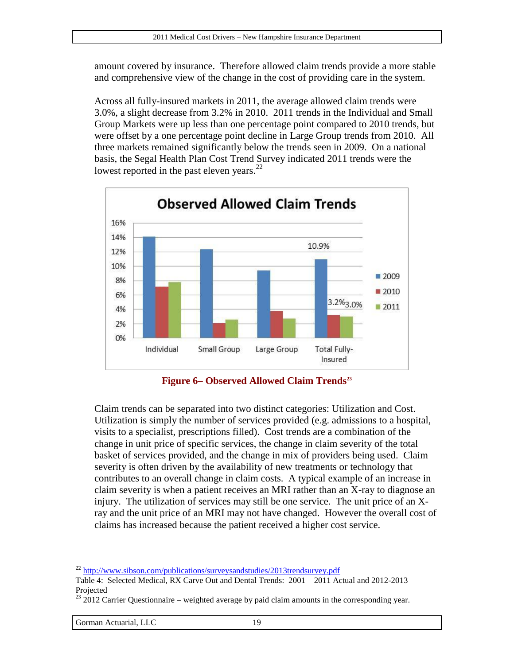amount covered by insurance. Therefore allowed claim trends provide a more stable and comprehensive view of the change in the cost of providing care in the system.

Across all fully-insured markets in 2011, the average allowed claim trends were 3.0%, a slight decrease from 3.2% in 2010. 2011 trends in the Individual and Small Group Markets were up less than one percentage point compared to 2010 trends, but were offset by a one percentage point decline in Large Group trends from 2010. All three markets remained significantly below the trends seen in 2009. On a national basis, the Segal Health Plan Cost Trend Survey indicated 2011 trends were the lowest reported in the past eleven years. $^{22}$ 



**Figure 6– Observed Allowed Claim Trends<sup>23</sup>**

<span id="page-18-0"></span>Claim trends can be separated into two distinct categories: Utilization and Cost. Utilization is simply the number of services provided (e.g. admissions to a hospital, visits to a specialist, prescriptions filled). Cost trends are a combination of the change in unit price of specific services, the change in claim severity of the total basket of services provided, and the change in mix of providers being used. Claim severity is often driven by the availability of new treatments or technology that contributes to an overall change in claim costs. A typical example of an increase in claim severity is when a patient receives an MRI rather than an X-ray to diagnose an injury. The utilization of services may still be one service. The unit price of an Xray and the unit price of an MRI may not have changed. However the overall cost of claims has increased because the patient received a higher cost service.

<sup>&</sup>lt;sup>22</sup> <http://www.sibson.com/publications/surveysandstudies/2013trendsurvey.pdf>

Table 4: Selected Medical, RX Carve Out and Dental Trends: 2001 – 2011 Actual and 2012-2013 Projected

 $23$  2012 Carrier Questionnaire – weighted average by paid claim amounts in the corresponding year.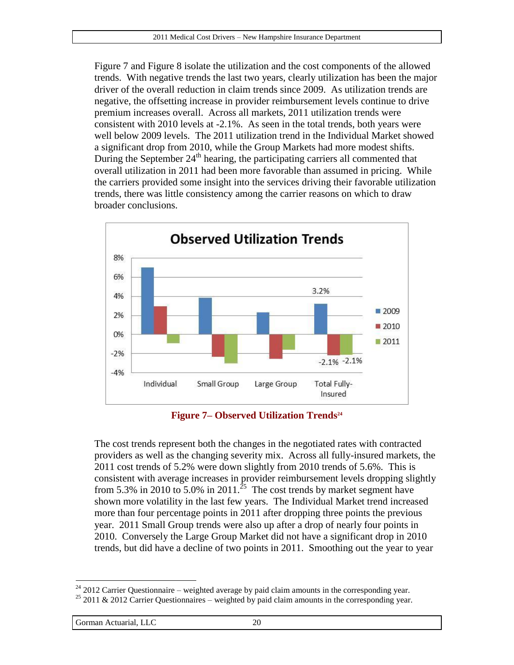[Figure 7](#page-19-0) and [Figure 8](#page-20-0) isolate the utilization and the cost components of the allowed trends. With negative trends the last two years, clearly utilization has been the major driver of the overall reduction in claim trends since 2009. As utilization trends are negative, the offsetting increase in provider reimbursement levels continue to drive premium increases overall. Across all markets, 2011 utilization trends were consistent with 2010 levels at -2.1%. As seen in the total trends, both years were well below 2009 levels. The 2011 utilization trend in the Individual Market showed a significant drop from 2010, while the Group Markets had more modest shifts. During the September  $24<sup>th</sup>$  hearing, the participating carriers all commented that overall utilization in 2011 had been more favorable than assumed in pricing. While the carriers provided some insight into the services driving their favorable utilization trends, there was little consistency among the carrier reasons on which to draw broader conclusions.



**Figure 7– Observed Utilization Trends<sup>24</sup>**

<span id="page-19-0"></span>The cost trends represent both the changes in the negotiated rates with contracted providers as well as the changing severity mix. Across all fully-insured markets, the 2011 cost trends of 5.2% were down slightly from 2010 trends of 5.6%. This is consistent with average increases in provider reimbursement levels dropping slightly from 5.3% in 2010 to 5.0% in 2011.<sup>25</sup> The cost trends by market segment have shown more volatility in the last few years. The Individual Market trend increased more than four percentage points in 2011 after dropping three points the previous year. 2011 Small Group trends were also up after a drop of nearly four points in 2010. Conversely the Large Group Market did not have a significant drop in 2010 trends, but did have a decline of two points in 2011. Smoothing out the year to year

Gorman Actuarial, LLC 20

 $\overline{a}$  $24$  2012 Carrier Questionnaire – weighted average by paid claim amounts in the corresponding year.

 $25$  2011 & 2012 Carrier Questionnaires – weighted by paid claim amounts in the corresponding year.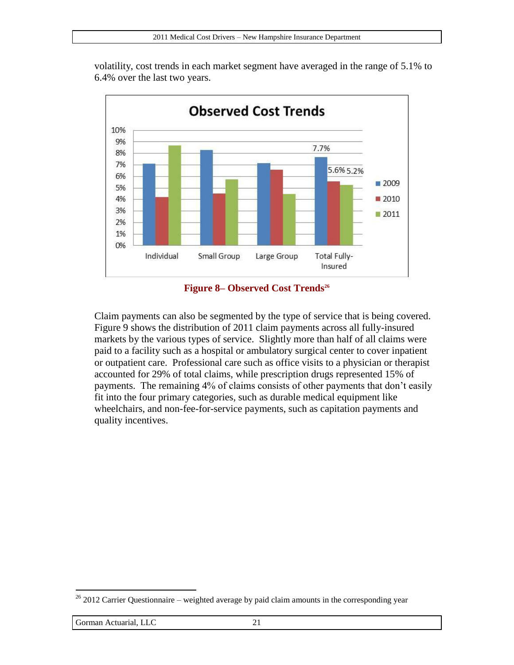volatility, cost trends in each market segment have averaged in the range of 5.1% to 6.4% over the last two years.



#### **Figure 8– Observed Cost Trends<sup>26</sup>**

<span id="page-20-0"></span>Claim payments can also be segmented by the type of service that is being covered. [Figure 9](#page-21-0) shows the distribution of 2011 claim payments across all fully-insured markets by the various types of service. Slightly more than half of all claims were paid to a facility such as a hospital or ambulatory surgical center to cover inpatient or outpatient care. Professional care such as office visits to a physician or therapist accounted for 29% of total claims, while prescription drugs represented 15% of payments. The remaining 4% of claims consists of other payments that don't easily fit into the four primary categories, such as durable medical equipment like wheelchairs, and non-fee-for-service payments, such as capitation payments and quality incentives.

 $26$  2012 Carrier Questionnaire – weighted average by paid claim amounts in the corresponding year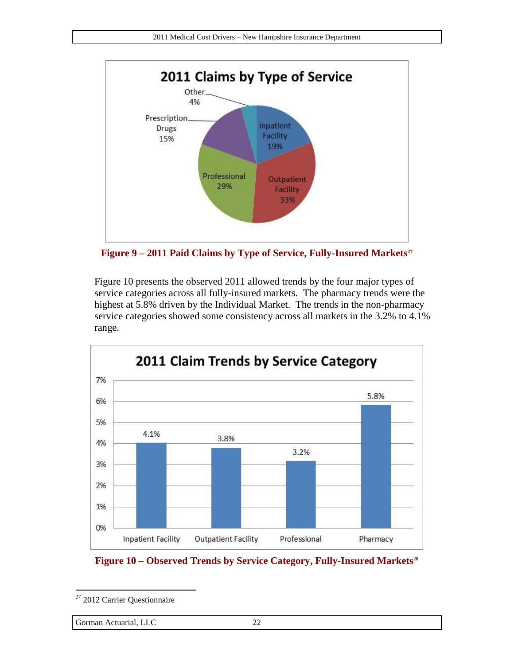

<span id="page-21-0"></span>**Figure 9 – 2011 Paid Claims by Type of Service, Fully-Insured Markets<sup>27</sup>**

[Figure 10](#page-21-1) presents the observed 2011 allowed trends by the four major types of service categories across all fully-insured markets. The pharmacy trends were the highest at 5.8% driven by the Individual Market. The trends in the non-pharmacy service categories showed some consistency across all markets in the 3.2% to 4.1% range.



<span id="page-21-1"></span>

<sup>&</sup>lt;sup>27</sup> 2012 Carrier Questionnaire

Gorman Actuarial, LLC 22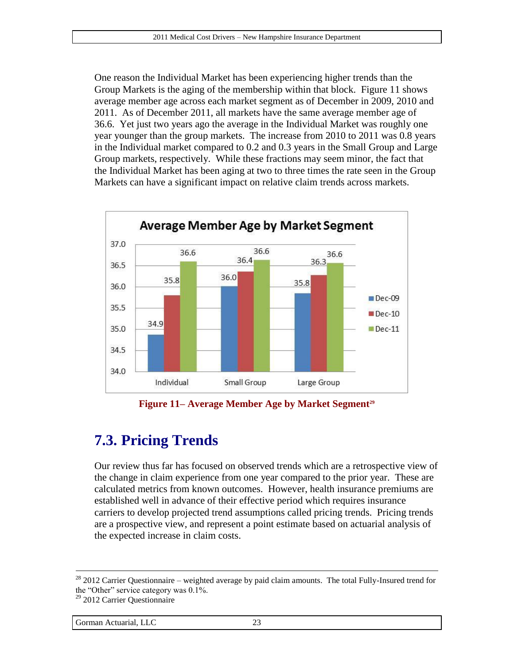One reason the Individual Market has been experiencing higher trends than the Group Markets is the aging of the membership within that block. [Figure 11](#page-22-0) shows average member age across each market segment as of December in 2009, 2010 and 2011. As of December 2011, all markets have the same average member age of 36.6. Yet just two years ago the average in the Individual Market was roughly one year younger than the group markets. The increase from 2010 to 2011 was 0.8 years in the Individual market compared to 0.2 and 0.3 years in the Small Group and Large Group markets, respectively. While these fractions may seem minor, the fact that the Individual Market has been aging at two to three times the rate seen in the Group Markets can have a significant impact on relative claim trends across markets.



**Figure 11– Average Member Age by Market Segment<sup>29</sup>**

## <span id="page-22-0"></span>**7.3. Pricing Trends**

Our review thus far has focused on observed trends which are a retrospective view of the change in claim experience from one year compared to the prior year. These are calculated metrics from known outcomes. However, health insurance premiums are established well in advance of their effective period which requires insurance carriers to develop projected trend assumptions called pricing trends. Pricing trends are a prospective view, and represent a point estimate based on actuarial analysis of the expected increase in claim costs.

<sup>&</sup>lt;sup>28</sup> 2012 Carrier Questionnaire – weighted average by paid claim amounts. The total Fully-Insured trend for the "Other" service category was 0.1%.

<sup>&</sup>lt;sup>29</sup> 2012 Carrier Questionnaire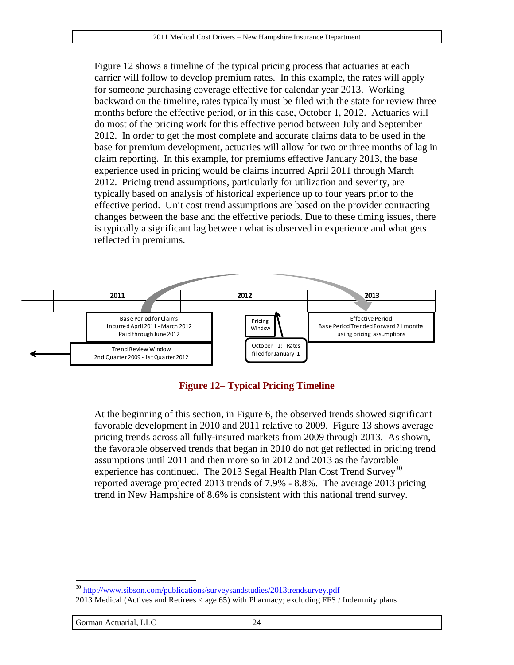[Figure 12](#page-23-0) shows a timeline of the typical pricing process that actuaries at each carrier will follow to develop premium rates. In this example, the rates will apply for someone purchasing coverage effective for calendar year 2013. Working backward on the timeline, rates typically must be filed with the state for review three months before the effective period, or in this case, October 1, 2012. Actuaries will do most of the pricing work for this effective period between July and September 2012. In order to get the most complete and accurate claims data to be used in the base for premium development, actuaries will allow for two or three months of lag in claim reporting. In this example, for premiums effective January 2013, the base experience used in pricing would be claims incurred April 2011 through March 2012. Pricing trend assumptions, particularly for utilization and severity, are typically based on analysis of historical experience up to four years prior to the effective period. Unit cost trend assumptions are based on the provider contracting changes between the base and the effective periods. Due to these timing issues, there is typically a significant lag between what is observed in experience and what gets reflected in premiums.





<span id="page-23-0"></span>At the beginning of this section, in [Figure 6,](#page-18-0) the observed trends showed significant favorable development in 2010 and 2011 relative to 2009. [Figure 13](#page-24-0) shows average pricing trends across all fully-insured markets from 2009 through 2013. As shown, the favorable observed trends that began in 2010 do not get reflected in pricing trend assumptions until 2011 and then more so in 2012 and 2013 as the favorable experience has continued. The 2013 Segal Health Plan Cost Trend Survey<sup>30</sup> reported average projected 2013 trends of 7.9% - 8.8%. The average 2013 pricing trend in New Hampshire of 8.6% is consistent with this national trend survey.

 $\overline{a}$ <sup>30</sup> <http://www.sibson.com/publications/surveysandstudies/2013trendsurvey.pdf>

<sup>2013</sup> Medical (Actives and Retirees < age 65) with Pharmacy; excluding FFS / Indemnity plans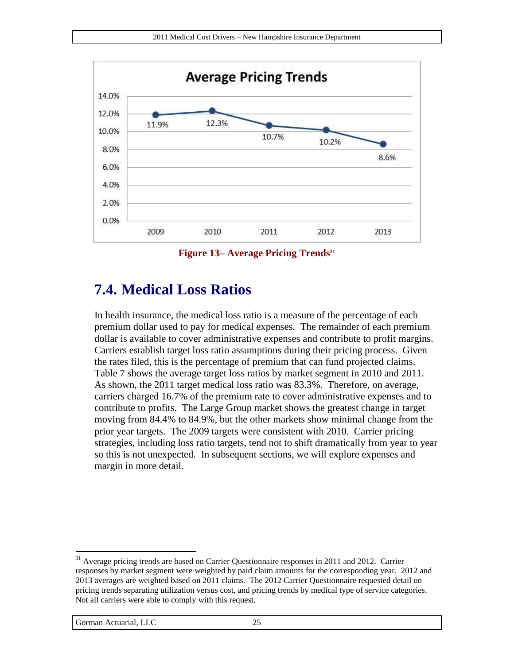

**Figure 13– Average Pricing Trends<sup>31</sup>**

### <span id="page-24-0"></span>**7.4. Medical Loss Ratios**

In health insurance, the medical loss ratio is a measure of the percentage of each premium dollar used to pay for medical expenses. The remainder of each premium dollar is available to cover administrative expenses and contribute to profit margins. Carriers establish target loss ratio assumptions during their pricing process. Given the rates filed, this is the percentage of premium that can fund projected claims. [Table 7](#page-25-0) shows the average target loss ratios by market segment in 2010 and 2011. As shown, the 2011 target medical loss ratio was 83.3%. Therefore, on average, carriers charged 16.7% of the premium rate to cover administrative expenses and to contribute to profits. The Large Group market shows the greatest change in target moving from 84.4% to 84.9%, but the other markets show minimal change from the prior year targets. The 2009 targets were consistent with 2010. Carrier pricing strategies, including loss ratio targets, tend not to shift dramatically from year to year so this is not unexpected. In subsequent sections, we will explore expenses and margin in more detail.

<sup>&</sup>lt;sup>31</sup> Average pricing trends are based on Carrier Questionnaire responses in 2011 and 2012. Carrier responses by market segment were weighted by paid claim amounts for the corresponding year. 2012 and 2013 averages are weighted based on 2011 claims. The 2012 Carrier Questionnaire requested detail on pricing trends separating utilization versus cost, and pricing trends by medical type of service categories. Not all carriers were able to comply with this request.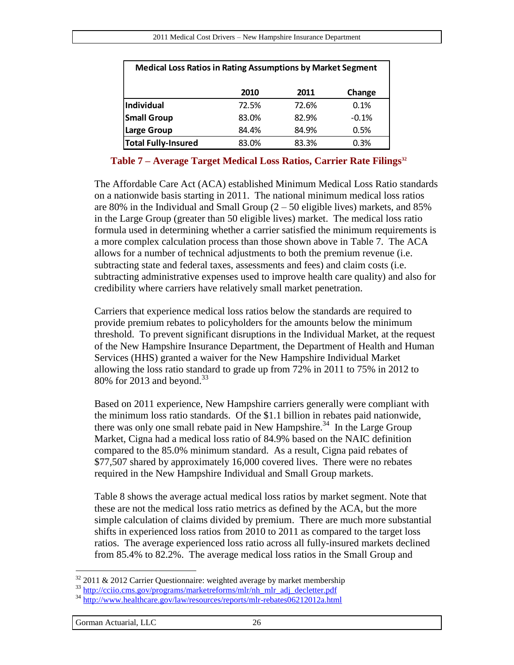| <b>Medical Loss Ratios in Rating Assumptions by Market Segment</b> |       |       |         |  |  |
|--------------------------------------------------------------------|-------|-------|---------|--|--|
|                                                                    | 2010  | 2011  | Change  |  |  |
| <b>Individual</b>                                                  | 72.5% | 72.6% | 0.1%    |  |  |
| <b>Small Group</b>                                                 | 83.0% | 82.9% | $-0.1%$ |  |  |
| Large Group                                                        | 84.4% | 84.9% | 0.5%    |  |  |
| <b>Total Fully-Insured</b>                                         | 83.0% | 83.3% | 0.3%    |  |  |

#### **Table 7 – Average Target Medical Loss Ratios, Carrier Rate Filings<sup>32</sup>**

<span id="page-25-0"></span>The Affordable Care Act (ACA) established Minimum Medical Loss Ratio standards on a nationwide basis starting in 2011. The national minimum medical loss ratios are 80% in the Individual and Small Group  $(2 - 50)$  eligible lives) markets, and 85% in the Large Group (greater than 50 eligible lives) market. The medical loss ratio formula used in determining whether a carrier satisfied the minimum requirements is a more complex calculation process than those shown above in [Table 7.](#page-25-0) The ACA allows for a number of technical adjustments to both the premium revenue (i.e. subtracting state and federal taxes, assessments and fees) and claim costs (i.e. subtracting administrative expenses used to improve health care quality) and also for credibility where carriers have relatively small market penetration.

Carriers that experience medical loss ratios below the standards are required to provide premium rebates to policyholders for the amounts below the minimum threshold. To prevent significant disruptions in the Individual Market, at the request of the New Hampshire Insurance Department, the Department of Health and Human Services (HHS) granted a waiver for the New Hampshire Individual Market allowing the loss ratio standard to grade up from 72% in 2011 to 75% in 2012 to 80% for 2013 and beyond. $33$ 

Based on 2011 experience, New Hampshire carriers generally were compliant with the minimum loss ratio standards. Of the \$1.1 billion in rebates paid nationwide, there was only one small rebate paid in New Hampshire.<sup>34</sup> In the Large Group Market, Cigna had a medical loss ratio of 84.9% based on the NAIC definition compared to the 85.0% minimum standard. As a result, Cigna paid rebates of \$77,507 shared by approximately 16,000 covered lives. There were no rebates required in the New Hampshire Individual and Small Group markets.

[Table 8](#page-26-0) shows the average actual medical loss ratios by market segment. Note that these are not the medical loss ratio metrics as defined by the ACA, but the more simple calculation of claims divided by premium. There are much more substantial shifts in experienced loss ratios from 2010 to 2011 as compared to the target loss ratios. The average experienced loss ratio across all fully-insured markets declined from 85.4% to 82.2%. The average medical loss ratios in the Small Group and

 $32$  2011 & 2012 Carrier Questionnaire: weighted average by market membership

<sup>&</sup>lt;sup>33</sup> [http://cciio.cms.gov/programs/marketreforms/mlr/nh\\_mlr\\_adj\\_decletter.pdf](http://cciio.cms.gov/programs/marketreforms/mlr/nh_mlr_adj_decletter.pdf)

<sup>&</sup>lt;sup>34</sup> http://www.healthcare.gov/<u>law/resources/reports/mlr-rebates06212012a.html</u>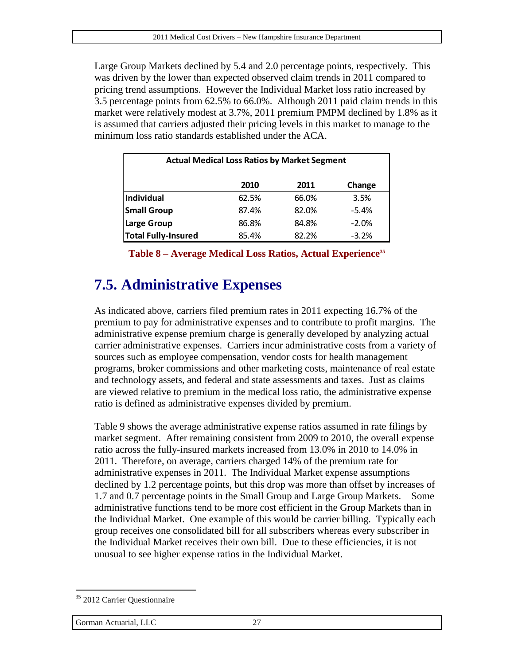Large Group Markets declined by 5.4 and 2.0 percentage points, respectively. This was driven by the lower than expected observed claim trends in 2011 compared to pricing trend assumptions. However the Individual Market loss ratio increased by 3.5 percentage points from 62.5% to 66.0%. Although 2011 paid claim trends in this market were relatively modest at 3.7%, 2011 premium PMPM declined by 1.8% as it is assumed that carriers adjusted their pricing levels in this market to manage to the minimum loss ratio standards established under the ACA.

| <b>Actual Medical Loss Ratios by Market Segment</b> |       |       |         |  |  |
|-----------------------------------------------------|-------|-------|---------|--|--|
|                                                     | 2010  | 2011  | Change  |  |  |
| <b>Individual</b>                                   | 62.5% | 66.0% | 3.5%    |  |  |
| <b>Small Group</b>                                  | 87.4% | 82.0% | $-5.4%$ |  |  |
| Large Group                                         | 86.8% | 84.8% | $-2.0%$ |  |  |
| <b>Total Fully-Insured</b>                          | 85.4% | 82.2% | $-3.2%$ |  |  |

**Table 8 – Average Medical Loss Ratios, Actual Experience<sup>35</sup>**

## <span id="page-26-1"></span><span id="page-26-0"></span>**7.5. Administrative Expenses**

As indicated above, carriers filed premium rates in 2011 expecting 16.7% of the premium to pay for administrative expenses and to contribute to profit margins. The administrative expense premium charge is generally developed by analyzing actual carrier administrative expenses. Carriers incur administrative costs from a variety of sources such as employee compensation, vendor costs for health management programs, broker commissions and other marketing costs, maintenance of real estate and technology assets, and federal and state assessments and taxes. Just as claims are viewed relative to premium in the medical loss ratio, the administrative expense ratio is defined as administrative expenses divided by premium.

[Table 9](#page-27-0) shows the average administrative expense ratios assumed in rate filings by market segment. After remaining consistent from 2009 to 2010, the overall expense ratio across the fully-insured markets increased from 13.0% in 2010 to 14.0% in 2011. Therefore, on average, carriers charged 14% of the premium rate for administrative expenses in 2011. The Individual Market expense assumptions declined by 1.2 percentage points, but this drop was more than offset by increases of 1.7 and 0.7 percentage points in the Small Group and Large Group Markets. Some administrative functions tend to be more cost efficient in the Group Markets than in the Individual Market. One example of this would be carrier billing. Typically each group receives one consolidated bill for all subscribers whereas every subscriber in the Individual Market receives their own bill. Due to these efficiencies, it is not unusual to see higher expense ratios in the Individual Market.

<sup>&</sup>lt;sup>35</sup> 2012 Carrier Questionnaire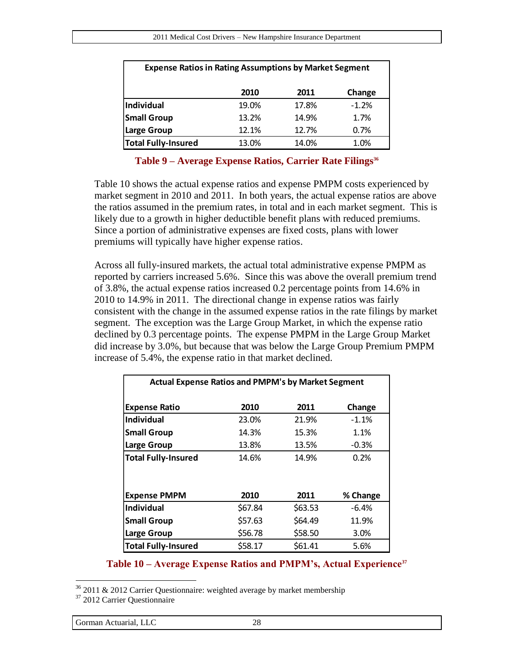| <b>Expense Ratios in Rating Assumptions by Market Segment</b> |       |       |         |  |  |
|---------------------------------------------------------------|-------|-------|---------|--|--|
|                                                               | 2010  | 2011  | Change  |  |  |
| Individual                                                    | 19.0% | 17.8% | $-1.2%$ |  |  |
| <b>Small Group</b>                                            | 13.2% | 14.9% | 1.7%    |  |  |
| <b>Large Group</b>                                            | 12.1% | 12.7% | 0.7%    |  |  |
| <b>Total Fully-Insured</b>                                    | 13.0% | 14.0% | 1.0%    |  |  |

#### **Table 9 – Average Expense Ratios, Carrier Rate Filings<sup>36</sup>**

<span id="page-27-0"></span>[Table 10](#page-27-1) shows the actual expense ratios and expense PMPM costs experienced by market segment in 2010 and 2011. In both years, the actual expense ratios are above the ratios assumed in the premium rates, in total and in each market segment. This is likely due to a growth in higher deductible benefit plans with reduced premiums. Since a portion of administrative expenses are fixed costs, plans with lower premiums will typically have higher expense ratios.

Across all fully-insured markets, the actual total administrative expense PMPM as reported by carriers increased 5.6%. Since this was above the overall premium trend of 3.8%, the actual expense ratios increased 0.2 percentage points from 14.6% in 2010 to 14.9% in 2011. The directional change in expense ratios was fairly consistent with the change in the assumed expense ratios in the rate filings by market segment. The exception was the Large Group Market, in which the expense ratio declined by 0.3 percentage points. The expense PMPM in the Large Group Market did increase by 3.0%, but because that was below the Large Group Premium PMPM increase of 5.4%, the expense ratio in that market declined.

| <b>Actual Expense Ratios and PMPM's by Market Segment</b> |         |         |          |
|-----------------------------------------------------------|---------|---------|----------|
| <b>Expense Ratio</b>                                      | 2010    | 2011    | Change   |
| Individual                                                | 23.0%   | 21.9%   | $-1.1%$  |
| <b>Small Group</b>                                        | 14.3%   | 15.3%   | 1.1%     |
| Large Group                                               | 13.8%   | 13.5%   | $-0.3%$  |
| <b>Total Fully-Insured</b>                                | 14.6%   | 14.9%   | 0.2%     |
| <b>Expense PMPM</b>                                       | 2010    | 2011    | % Change |
| Individual                                                | \$67.84 | \$63.53 | $-6.4%$  |
| <b>Small Group</b>                                        | \$57.63 | \$64.49 | 11.9%    |
| Large Group                                               | \$56.78 | \$58.50 | 3.0%     |
| <b>Total Fully-Insured</b>                                | \$58.17 | \$61.41 | 5.6%     |

#### **Table 10 – Average Expense Ratios and PMPM's, Actual Experience<sup>37</sup>**

<span id="page-27-1"></span> $36$  2011 & 2012 Carrier Questionnaire: weighted average by market membership

<sup>37</sup> 2012 Carrier Questionnaire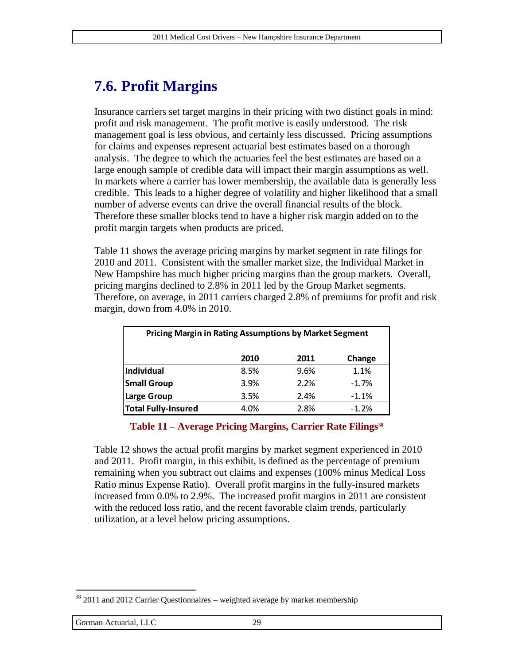## **7.6. Profit Margins**

Insurance carriers set target margins in their pricing with two distinct goals in mind: profit and risk management. The profit motive is easily understood. The risk management goal is less obvious, and certainly less discussed. Pricing assumptions for claims and expenses represent actuarial best estimates based on a thorough analysis. The degree to which the actuaries feel the best estimates are based on a large enough sample of credible data will impact their margin assumptions as well. In markets where a carrier has lower membership, the available data is generally less credible. This leads to a higher degree of volatility and higher likelihood that a small number of adverse events can drive the overall financial results of the block. Therefore these smaller blocks tend to have a higher risk margin added on to the profit margin targets when products are priced.

[Table 11](#page-28-0) shows the average pricing margins by market segment in rate filings for 2010 and 2011. Consistent with the smaller market size, the Individual Market in New Hampshire has much higher pricing margins than the group markets. Overall, pricing margins declined to 2.8% in 2011 led by the Group Market segments. Therefore, on average, in 2011 carriers charged 2.8% of premiums for profit and risk margin, down from 4.0% in 2010.

| <b>Pricing Margin in Rating Assumptions by Market Segment</b> |      |      |         |  |
|---------------------------------------------------------------|------|------|---------|--|
|                                                               | 2010 | 2011 | Change  |  |
| Individual                                                    | 8.5% | 9.6% | 1.1%    |  |
| <b>Small Group</b>                                            | 3.9% | 2.2% | $-1.7%$ |  |
| <b>Large Group</b>                                            | 3.5% | 2.4% | $-1.1%$ |  |
| <b>Total Fully-Insured</b>                                    | 4.0% | 2.8% | $-1.2%$ |  |

#### **Table 11 – Average Pricing Margins, Carrier Rate Filings<sup>38</sup>**

<span id="page-28-0"></span>[Table 12](#page-29-0) shows the actual profit margins by market segment experienced in 2010 and 2011. Profit margin, in this exhibit, is defined as the percentage of premium remaining when you subtract out claims and expenses (100% minus Medical Loss Ratio minus Expense Ratio). Overall profit margins in the fully-insured markets increased from 0.0% to 2.9%. The increased profit margins in 2011 are consistent with the reduced loss ratio, and the recent favorable claim trends, particularly utilization, at a level below pricing assumptions.

 $38$  2011 and 2012 Carrier Questionnaires – weighted average by market membership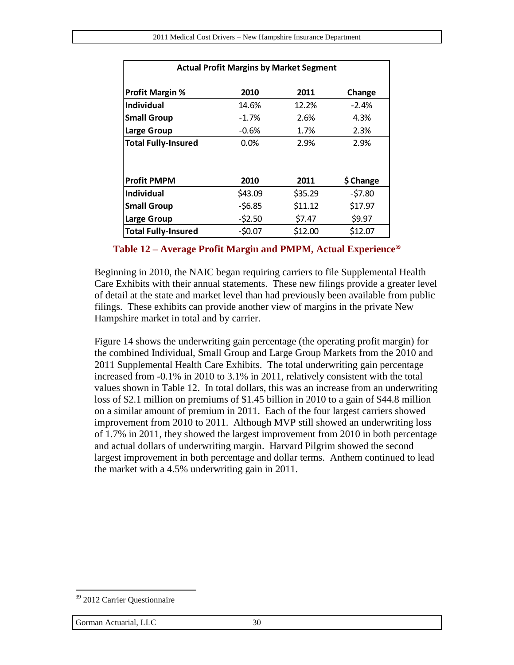| <b>Actual Profit Margins by Market Segment</b> |          |         |           |  |  |
|------------------------------------------------|----------|---------|-----------|--|--|
| <b>Profit Margin %</b>                         | 2010     | 2011    | Change    |  |  |
| Individual                                     | 14.6%    | 12.2%   | $-2.4%$   |  |  |
| <b>Small Group</b>                             | $-1.7%$  | 2.6%    | 4.3%      |  |  |
| Large Group                                    | $-0.6%$  | 1.7%    | 2.3%      |  |  |
| <b>Total Fully-Insured</b>                     | 0.0%     | 2.9%    | 2.9%      |  |  |
|                                                |          |         |           |  |  |
| <b>Profit PMPM</b>                             | 2010     | 2011    | \$ Change |  |  |
| <b>Individual</b>                              | \$43.09  | \$35.29 | $-57.80$  |  |  |
| <b>Small Group</b>                             | $-56.85$ | \$11.12 | \$17.97   |  |  |
| Large Group                                    | $-52.50$ | \$7.47  | \$9.97    |  |  |
| <b>Total Fully-Insured</b>                     | $-50.07$ | \$12.00 | \$12.07   |  |  |

**Table 12 – Average Profit Margin and PMPM, Actual Experience<sup>39</sup>**

<span id="page-29-0"></span>Beginning in 2010, the NAIC began requiring carriers to file Supplemental Health Care Exhibits with their annual statements. These new filings provide a greater level of detail at the state and market level than had previously been available from public filings. These exhibits can provide another view of margins in the private New Hampshire market in total and by carrier.

[Figure 14](#page-30-0) shows the underwriting gain percentage (the operating profit margin) for the combined Individual, Small Group and Large Group Markets from the 2010 and 2011 Supplemental Health Care Exhibits. The total underwriting gain percentage increased from -0.1% in 2010 to 3.1% in 2011, relatively consistent with the total values shown in [Table 12.](#page-29-0) In total dollars, this was an increase from an underwriting loss of \$2.1 million on premiums of \$1.45 billion in 2010 to a gain of \$44.8 million on a similar amount of premium in 2011. Each of the four largest carriers showed improvement from 2010 to 2011. Although MVP still showed an underwriting loss of 1.7% in 2011, they showed the largest improvement from 2010 in both percentage and actual dollars of underwriting margin. Harvard Pilgrim showed the second largest improvement in both percentage and dollar terms. Anthem continued to lead the market with a 4.5% underwriting gain in 2011.

<sup>&</sup>lt;sup>39</sup> 2012 Carrier Questionnaire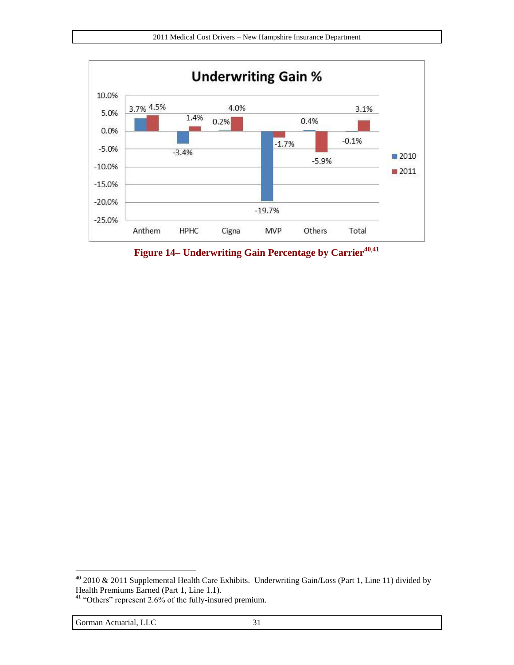

<span id="page-30-0"></span>**Figure 14– Underwriting Gain Percentage by Carrier<sup>40</sup>,<sup>41</sup>**

 $40$  2010 & 2011 Supplemental Health Care Exhibits. Underwriting Gain/Loss (Part 1, Line 11) divided by Health Premiums Earned (Part 1, Line 1.1).

 $41$  "Others" represent 2.6% of the fully-insured premium.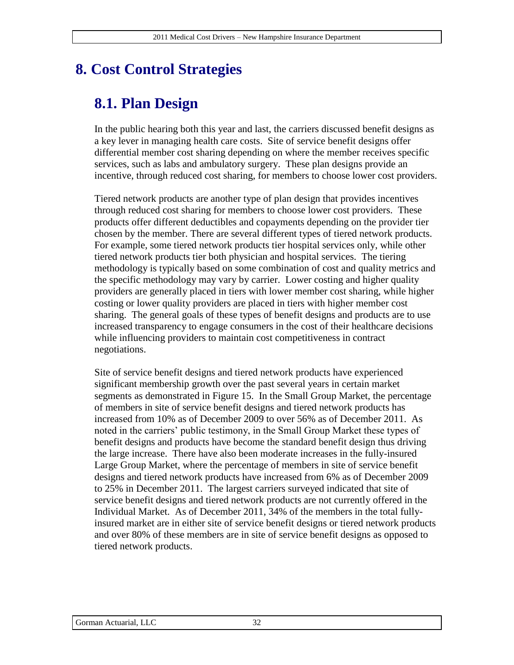## **8. Cost Control Strategies**

## **8.1. Plan Design**

In the public hearing both this year and last, the carriers discussed benefit designs as a key lever in managing health care costs. Site of service benefit designs offer differential member cost sharing depending on where the member receives specific services, such as labs and ambulatory surgery. These plan designs provide an incentive, through reduced cost sharing, for members to choose lower cost providers.

Tiered network products are another type of plan design that provides incentives through reduced cost sharing for members to choose lower cost providers. These products offer different deductibles and copayments depending on the provider tier chosen by the member. There are several different types of tiered network products. For example, some tiered network products tier hospital services only, while other tiered network products tier both physician and hospital services. The tiering methodology is typically based on some combination of cost and quality metrics and the specific methodology may vary by carrier. Lower costing and higher quality providers are generally placed in tiers with lower member cost sharing, while higher costing or lower quality providers are placed in tiers with higher member cost sharing. The general goals of these types of benefit designs and products are to use increased transparency to engage consumers in the cost of their healthcare decisions while influencing providers to maintain cost competitiveness in contract negotiations.

Site of service benefit designs and tiered network products have experienced significant membership growth over the past several years in certain market segments as demonstrated in [Figure 15.](#page-32-0) In the Small Group Market, the percentage of members in site of service benefit designs and tiered network products has increased from 10% as of December 2009 to over 56% as of December 2011. As noted in the carriers' public testimony, in the Small Group Market these types of benefit designs and products have become the standard benefit design thus driving the large increase. There have also been moderate increases in the fully-insured Large Group Market, where the percentage of members in site of service benefit designs and tiered network products have increased from 6% as of December 2009 to 25% in December 2011. The largest carriers surveyed indicated that site of service benefit designs and tiered network products are not currently offered in the Individual Market. As of December 2011, 34% of the members in the total fullyinsured market are in either site of service benefit designs or tiered network products and over 80% of these members are in site of service benefit designs as opposed to tiered network products.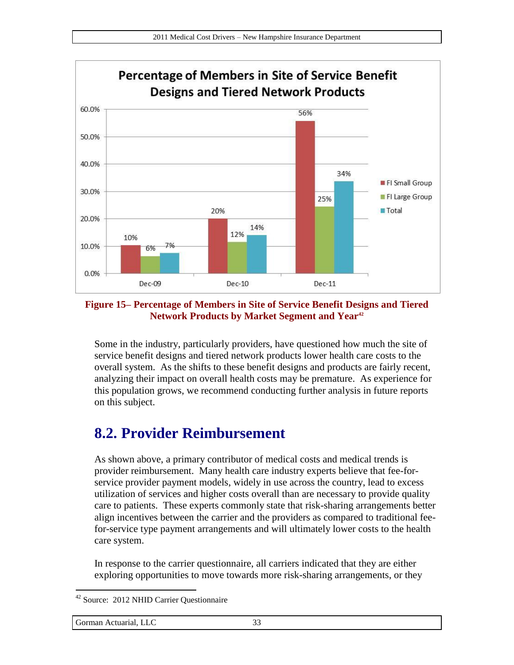

#### <span id="page-32-0"></span>**Figure 15– Percentage of Members in Site of Service Benefit Designs and Tiered Network Products by Market Segment and Year<sup>42</sup>**

Some in the industry, particularly providers, have questioned how much the site of service benefit designs and tiered network products lower health care costs to the overall system. As the shifts to these benefit designs and products are fairly recent, analyzing their impact on overall health costs may be premature. As experience for this population grows, we recommend conducting further analysis in future reports on this subject.

### **8.2. Provider Reimbursement**

As shown above, a primary contributor of medical costs and medical trends is provider reimbursement. Many health care industry experts believe that fee-forservice provider payment models, widely in use across the country, lead to excess utilization of services and higher costs overall than are necessary to provide quality care to patients. These experts commonly state that risk-sharing arrangements better align incentives between the carrier and the providers as compared to traditional feefor-service type payment arrangements and will ultimately lower costs to the health care system.

In response to the carrier questionnaire, all carriers indicated that they are either exploring opportunities to move towards more risk-sharing arrangements, or they

<sup>42</sup> Source: 2012 NHID Carrier Questionnaire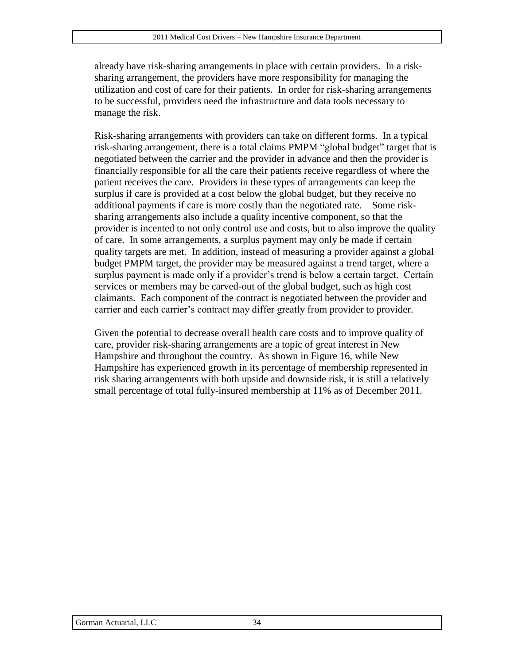already have risk-sharing arrangements in place with certain providers. In a risksharing arrangement, the providers have more responsibility for managing the utilization and cost of care for their patients. In order for risk-sharing arrangements to be successful, providers need the infrastructure and data tools necessary to manage the risk.

Risk-sharing arrangements with providers can take on different forms. In a typical risk-sharing arrangement, there is a total claims PMPM "global budget" target that is negotiated between the carrier and the provider in advance and then the provider is financially responsible for all the care their patients receive regardless of where the patient receives the care. Providers in these types of arrangements can keep the surplus if care is provided at a cost below the global budget, but they receive no additional payments if care is more costly than the negotiated rate. Some risksharing arrangements also include a quality incentive component, so that the provider is incented to not only control use and costs, but to also improve the quality of care. In some arrangements, a surplus payment may only be made if certain quality targets are met. In addition, instead of measuring a provider against a global budget PMPM target, the provider may be measured against a trend target, where a surplus payment is made only if a provider's trend is below a certain target. Certain services or members may be carved-out of the global budget, such as high cost claimants. Each component of the contract is negotiated between the provider and carrier and each carrier's contract may differ greatly from provider to provider.

Given the potential to decrease overall health care costs and to improve quality of care, provider risk-sharing arrangements are a topic of great interest in New Hampshire and throughout the country. As shown in [Figure 16,](#page-34-0) while New Hampshire has experienced growth in its percentage of membership represented in risk sharing arrangements with both upside and downside risk, it is still a relatively small percentage of total fully-insured membership at 11% as of December 2011.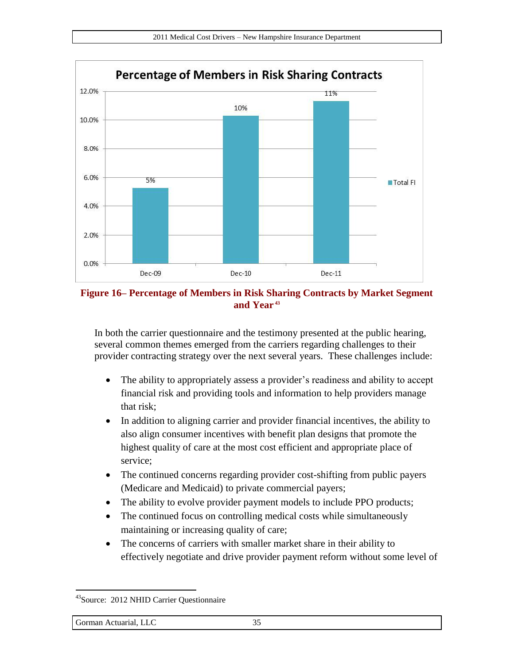

<span id="page-34-0"></span>**Figure 16– Percentage of Members in Risk Sharing Contracts by Market Segment and Year <sup>43</sup>**

In both the carrier questionnaire and the testimony presented at the public hearing, several common themes emerged from the carriers regarding challenges to their provider contracting strategy over the next several years. These challenges include:

- The ability to appropriately assess a provider's readiness and ability to accept financial risk and providing tools and information to help providers manage that risk;
- In addition to aligning carrier and provider financial incentives, the ability to also align consumer incentives with benefit plan designs that promote the highest quality of care at the most cost efficient and appropriate place of service;
- The continued concerns regarding provider cost-shifting from public payers (Medicare and Medicaid) to private commercial payers;
- The ability to evolve provider payment models to include PPO products;
- The continued focus on controlling medical costs while simultaneously maintaining or increasing quality of care;
- The concerns of carriers with smaller market share in their ability to effectively negotiate and drive provider payment reform without some level of

<sup>&</sup>lt;sup>43</sup>Source: 2012 NHID Carrier Questionnaire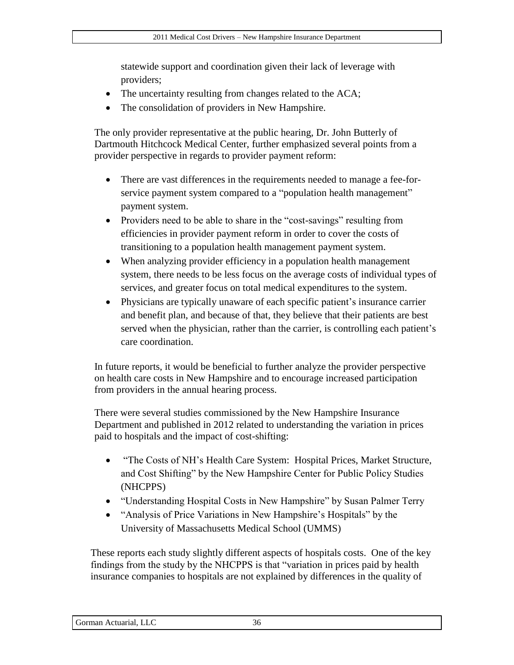statewide support and coordination given their lack of leverage with providers;

- The uncertainty resulting from changes related to the ACA;
- The consolidation of providers in New Hampshire.

The only provider representative at the public hearing, Dr. John Butterly of Dartmouth Hitchcock Medical Center, further emphasized several points from a provider perspective in regards to provider payment reform:

- There are vast differences in the requirements needed to manage a fee-forservice payment system compared to a "population health management" payment system.
- Providers need to be able to share in the "cost-savings" resulting from efficiencies in provider payment reform in order to cover the costs of transitioning to a population health management payment system.
- When analyzing provider efficiency in a population health management system, there needs to be less focus on the average costs of individual types of services, and greater focus on total medical expenditures to the system.
- Physicians are typically unaware of each specific patient's insurance carrier and benefit plan, and because of that, they believe that their patients are best served when the physician, rather than the carrier, is controlling each patient's care coordination.

In future reports, it would be beneficial to further analyze the provider perspective on health care costs in New Hampshire and to encourage increased participation from providers in the annual hearing process.

There were several studies commissioned by the New Hampshire Insurance Department and published in 2012 related to understanding the variation in prices paid to hospitals and the impact of cost-shifting:

- "The Costs of NH's Health Care System: Hospital Prices, Market Structure, and Cost Shifting" by the New Hampshire Center for Public Policy Studies (NHCPPS)
- "Understanding Hospital Costs in New Hampshire" by Susan Palmer Terry
- "Analysis of Price Variations in New Hampshire's Hospitals" by the University of Massachusetts Medical School (UMMS)

These reports each study slightly different aspects of hospitals costs. One of the key findings from the study by the NHCPPS is that "variation in prices paid by health insurance companies to hospitals are not explained by differences in the quality of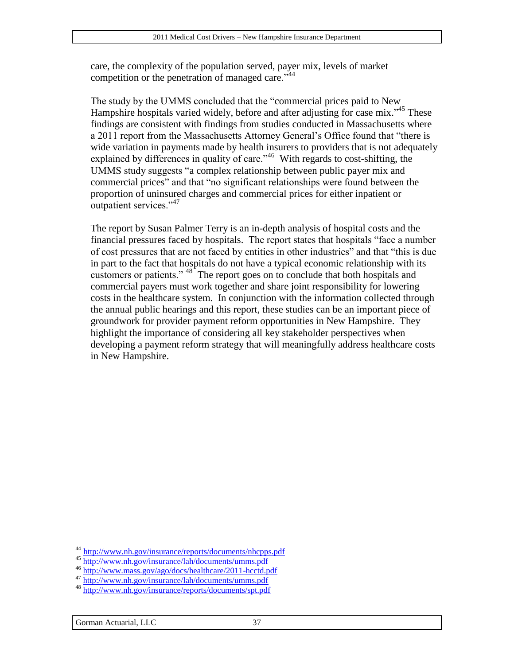care, the complexity of the population served, payer mix, levels of market competition or the penetration of managed care."<sup>44</sup>

The study by the UMMS concluded that the "commercial prices paid to New Hampshire hospitals varied widely, before and after adjusting for case mix."<sup>45</sup> These findings are consistent with findings from studies conducted in Massachusetts where a 2011 report from the Massachusetts Attorney General's Office found that "there is wide variation in payments made by health insurers to providers that is not adequately explained by differences in quality of care."<sup>46</sup> With regards to cost-shifting, the UMMS study suggests "a complex relationship between public payer mix and commercial prices" and that "no significant relationships were found between the proportion of uninsured charges and commercial prices for either inpatient or outpatient services."<sup>47</sup>

The report by Susan Palmer Terry is an in-depth analysis of hospital costs and the financial pressures faced by hospitals. The report states that hospitals "face a number of cost pressures that are not faced by entities in other industries" and that "this is due in part to the fact that hospitals do not have a typical economic relationship with its customers or patients." <sup>48</sup> The report goes on to conclude that both hospitals and commercial payers must work together and share joint responsibility for lowering costs in the healthcare system. In conjunction with the information collected through the annual public hearings and this report, these studies can be an important piece of groundwork for provider payment reform opportunities in New Hampshire. They highlight the importance of considering all key stakeholder perspectives when developing a payment reform strategy that will meaningfully address healthcare costs in New Hampshire.

<sup>&</sup>lt;sup>44</sup> <http://www.nh.gov/insurance/reports/documents/nhcpps.pdf>

<sup>45</sup> <http://www.nh.gov/insurance/lah/documents/umms.pdf>

<sup>46</sup> <http://www.mass.gov/ago/docs/healthcare/2011-hcctd.pdf>

<sup>&</sup>lt;sup>47</sup> <http://www.nh.gov/insurance/lah/documents/umms.pdf>

<sup>48</sup> <http://www.nh.gov/insurance/reports/documents/spt.pdf>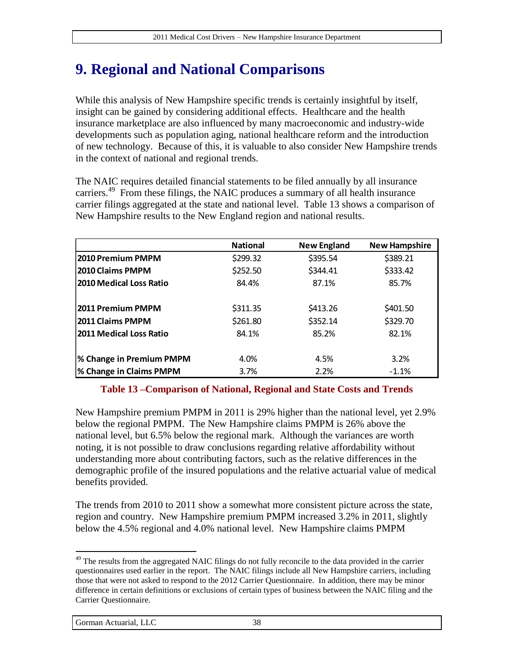## **9. Regional and National Comparisons**

While this analysis of New Hampshire specific trends is certainly insightful by itself, insight can be gained by considering additional effects. Healthcare and the health insurance marketplace are also influenced by many macroeconomic and industry-wide developments such as population aging, national healthcare reform and the introduction of new technology. Because of this, it is valuable to also consider New Hampshire trends in the context of national and regional trends.

The NAIC requires detailed financial statements to be filed annually by all insurance carriers.<sup>49</sup> From these filings, the NAIC produces a summary of all health insurance carrier filings aggregated at the state and national level. [Table 13](#page-37-0) shows a comparison of New Hampshire results to the New England region and national results.

|                                | <b>National</b> | <b>New England</b> | <b>New Hampshire</b> |
|--------------------------------|-----------------|--------------------|----------------------|
| 2010 Premium PMPM              | \$299.32        | \$395.54           | \$389.21             |
| <b>2010 Claims PMPM</b>        | \$252.50        | \$344.41           | \$333.42             |
| 2010 Medical Loss Ratio        | 84.4%           | 87.1%              | 85.7%                |
| 2011 Premium PMPM              | \$311.35        | \$413.26           | \$401.50             |
| 2011 Claims PMPM               | \$261.80        | \$352.14           | \$329.70             |
| <b>2011 Medical Loss Ratio</b> | 84.1%           | 85.2%              | 82.1%                |
| % Change in Premium PMPM       | 4.0%            | 4.5%               | 3.2%                 |
| <b>% Change in Claims PMPM</b> | 3.7%            | 2.2%               | $-1.1%$              |

#### **Table 13 –Comparison of National, Regional and State Costs and Trends**

<span id="page-37-0"></span>New Hampshire premium PMPM in 2011 is 29% higher than the national level, yet 2.9% below the regional PMPM. The New Hampshire claims PMPM is 26% above the national level, but 6.5% below the regional mark. Although the variances are worth noting, it is not possible to draw conclusions regarding relative affordability without understanding more about contributing factors, such as the relative differences in the demographic profile of the insured populations and the relative actuarial value of medical benefits provided.

The trends from 2010 to 2011 show a somewhat more consistent picture across the state, region and country. New Hampshire premium PMPM increased 3.2% in 2011, slightly below the 4.5% regional and 4.0% national level. New Hampshire claims PMPM

<sup>&</sup>lt;sup>49</sup> The results from the aggregated NAIC filings do not fully reconcile to the data provided in the carrier questionnaires used earlier in the report. The NAIC filings include all New Hampshire carriers, including those that were not asked to respond to the 2012 Carrier Questionnaire. In addition, there may be minor difference in certain definitions or exclusions of certain types of business between the NAIC filing and the Carrier Questionnaire.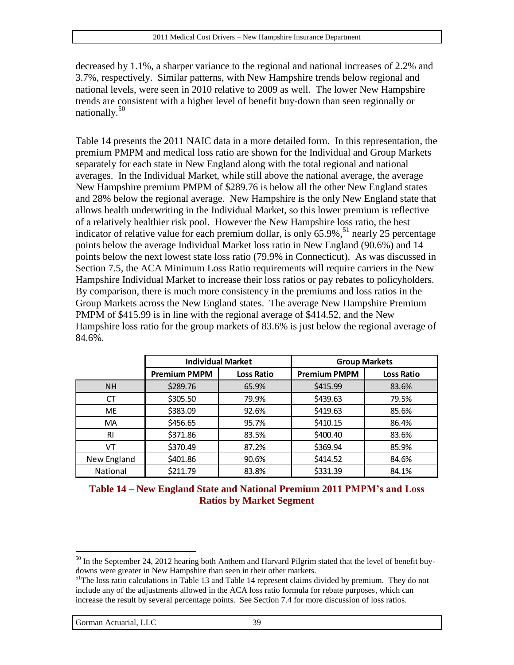decreased by 1.1%, a sharper variance to the regional and national increases of 2.2% and 3.7%, respectively. Similar patterns, with New Hampshire trends below regional and national levels, were seen in 2010 relative to 2009 as well. The lower New Hampshire trends are consistent with a higher level of benefit buy-down than seen regionally or nationally.<sup>50</sup>

[Table 14](#page-38-0) presents the 2011 NAIC data in a more detailed form. In this representation, the premium PMPM and medical loss ratio are shown for the Individual and Group Markets separately for each state in New England along with the total regional and national averages. In the Individual Market, while still above the national average, the average New Hampshire premium PMPM of \$289.76 is below all the other New England states and 28% below the regional average. New Hampshire is the only New England state that allows health underwriting in the Individual Market, so this lower premium is reflective of a relatively healthier risk pool. However the New Hampshire loss ratio, the best indicator of relative value for each premium dollar, is only  $65.9\%$ , <sup>51</sup> nearly 25 percentage points below the average Individual Market loss ratio in New England (90.6%) and 14 points below the next lowest state loss ratio (79.9% in Connecticut). As was discussed in Section [7.5,](#page-26-1) the ACA Minimum Loss Ratio requirements will require carriers in the New Hampshire Individual Market to increase their loss ratios or pay rebates to policyholders. By comparison, there is much more consistency in the premiums and loss ratios in the Group Markets across the New England states. The average New Hampshire Premium PMPM of \$415.99 is in line with the regional average of \$414.52, and the New Hampshire loss ratio for the group markets of 83.6% is just below the regional average of 84.6%.

|                 |                     | <b>Individual Market</b> | <b>Group Markets</b> |                   |  |
|-----------------|---------------------|--------------------------|----------------------|-------------------|--|
|                 | <b>Premium PMPM</b> | <b>Loss Ratio</b>        | <b>Premium PMPM</b>  | <b>Loss Ratio</b> |  |
| <b>NH</b>       | \$289.76            | 65.9%                    | \$415.99             | 83.6%             |  |
| СT              | \$305.50            | 79.9%                    | \$439.63             | 79.5%             |  |
| <b>ME</b>       | \$383.09            | 92.6%                    | \$419.63             | 85.6%             |  |
| <b>MA</b>       | \$456.65            | 95.7%                    | \$410.15             | 86.4%             |  |
| <b>RI</b>       | \$371.86            | 83.5%                    | \$400.40             | 83.6%             |  |
| VT              | \$370.49            | 87.2%                    | \$369.94             | 85.9%             |  |
| New England     | \$401.86            | 90.6%                    | \$414.52             | 84.6%             |  |
| <b>National</b> | \$211.79            | 83.8%                    | \$331.39             | 84.1%             |  |

<span id="page-38-0"></span>**Table 14 – New England State and National Premium 2011 PMPM's and Loss Ratios by Market Segment**

 $50$  In the September 24, 2012 hearing both Anthem and Harvard Pilgrim stated that the level of benefit buydowns were greater in New Hampshire than seen in their other markets.

<sup>&</sup>lt;sup>51</sup>The loss ratio calculations in [Table 13](#page-37-0) an[d Table 14](#page-38-0) represent claims divided by premium. They do not include any of the adjustments allowed in the ACA loss ratio formula for rebate purposes, which can increase the result by several percentage points. See Section 7.4 for more discussion of loss ratios.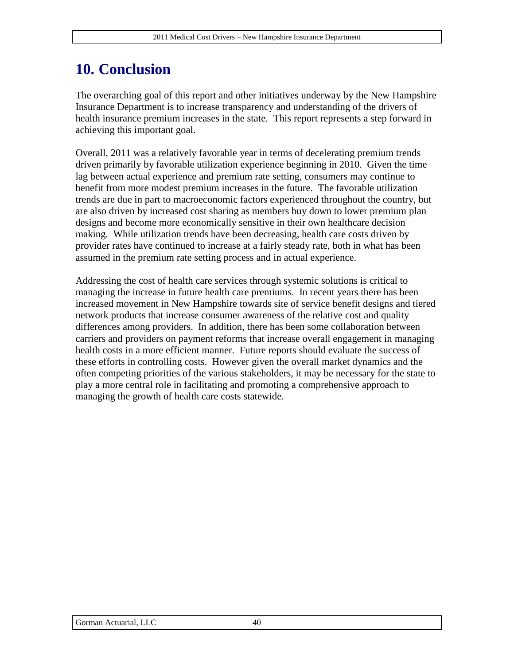## **10. Conclusion**

The overarching goal of this report and other initiatives underway by the New Hampshire Insurance Department is to increase transparency and understanding of the drivers of health insurance premium increases in the state. This report represents a step forward in achieving this important goal.

Overall, 2011 was a relatively favorable year in terms of decelerating premium trends driven primarily by favorable utilization experience beginning in 2010. Given the time lag between actual experience and premium rate setting, consumers may continue to benefit from more modest premium increases in the future. The favorable utilization trends are due in part to macroeconomic factors experienced throughout the country, but are also driven by increased cost sharing as members buy down to lower premium plan designs and become more economically sensitive in their own healthcare decision making. While utilization trends have been decreasing, health care costs driven by provider rates have continued to increase at a fairly steady rate, both in what has been assumed in the premium rate setting process and in actual experience.

Addressing the cost of health care services through systemic solutions is critical to managing the increase in future health care premiums. In recent years there has been increased movement in New Hampshire towards site of service benefit designs and tiered network products that increase consumer awareness of the relative cost and quality differences among providers. In addition, there has been some collaboration between carriers and providers on payment reforms that increase overall engagement in managing health costs in a more efficient manner. Future reports should evaluate the success of these efforts in controlling costs. However given the overall market dynamics and the often competing priorities of the various stakeholders, it may be necessary for the state to play a more central role in facilitating and promoting a comprehensive approach to managing the growth of health care costs statewide.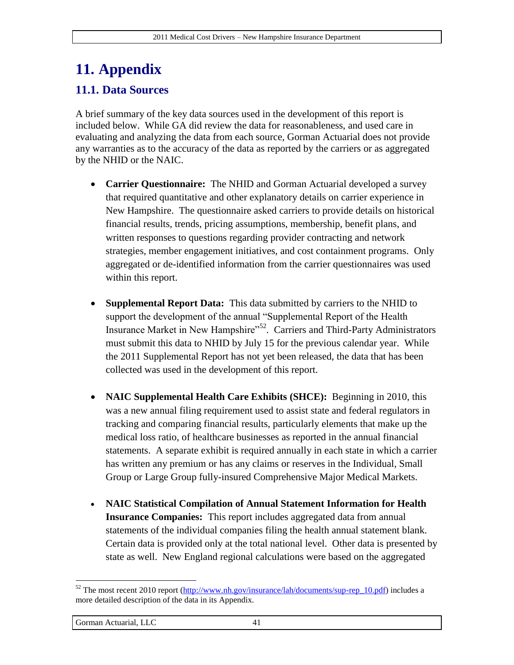# **11. Appendix**

#### **11.1. Data Sources**

A brief summary of the key data sources used in the development of this report is included below. While GA did review the data for reasonableness, and used care in evaluating and analyzing the data from each source, Gorman Actuarial does not provide any warranties as to the accuracy of the data as reported by the carriers or as aggregated by the NHID or the NAIC.

- **Carrier Questionnaire:** The NHID and Gorman Actuarial developed a survey that required quantitative and other explanatory details on carrier experience in New Hampshire. The questionnaire asked carriers to provide details on historical financial results, trends, pricing assumptions, membership, benefit plans, and written responses to questions regarding provider contracting and network strategies, member engagement initiatives, and cost containment programs. Only aggregated or de-identified information from the carrier questionnaires was used within this report.
- **Supplemental Report Data:** This data submitted by carriers to the NHID to support the development of the annual "Supplemental Report of the Health Insurance Market in New Hampshire"<sup>52</sup>. Carriers and Third-Party Administrators must submit this data to NHID by July 15 for the previous calendar year. While the 2011 Supplemental Report has not yet been released, the data that has been collected was used in the development of this report.
- **NAIC Supplemental Health Care Exhibits (SHCE):** Beginning in 2010, this was a new annual filing requirement used to assist state and federal regulators in tracking and comparing financial results, particularly elements that make up the medical loss ratio, of healthcare businesses as reported in the annual financial statements. A separate exhibit is required annually in each state in which a carrier has written any premium or has any claims or reserves in the Individual, Small Group or Large Group fully-insured Comprehensive Major Medical Markets.
- **NAIC Statistical Compilation of Annual Statement Information for Health Insurance Companies:** This report includes aggregated data from annual statements of the individual companies filing the health annual statement blank. Certain data is provided only at the total national level. Other data is presented by state as well. New England regional calculations were based on the aggregated

<sup>&</sup>lt;sup>52</sup> The most recent 2010 report ( $\frac{http://www.nh.gov/insurance/lah/documents/sup-rep_10.pdf}{http://www.nh.gov/insurance/lah/documents/sup-rep_10.pdf}$ ) includes a more detailed description of the data in its Appendix.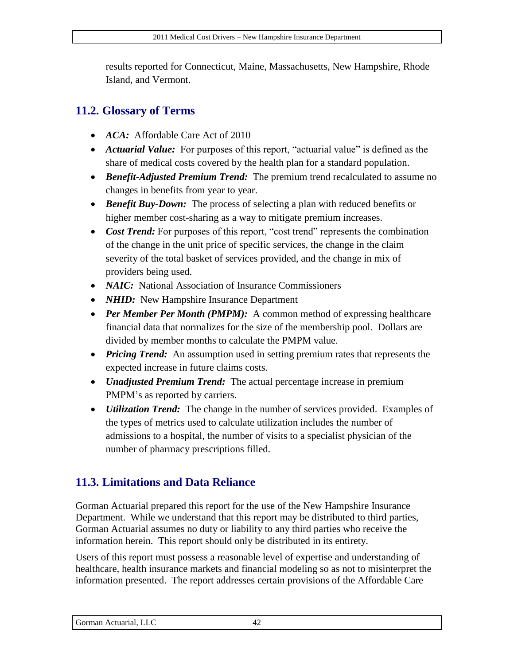results reported for Connecticut, Maine, Massachusetts, New Hampshire, Rhode Island, and Vermont.

#### **11.2. Glossary of Terms**

- *ACA:* Affordable Care Act of 2010
- *Actuarial Value:* For purposes of this report, "actuarial value" is defined as the share of medical costs covered by the health plan for a standard population.
- *Benefit-Adjusted Premium Trend:* The premium trend recalculated to assume no changes in benefits from year to year.
- *Benefit Buy-Down:* The process of selecting a plan with reduced benefits or higher member cost-sharing as a way to mitigate premium increases.
- *Cost Trend:* For purposes of this report, "cost trend" represents the combination of the change in the unit price of specific services, the change in the claim severity of the total basket of services provided, and the change in mix of providers being used.
- *NAIC:* National Association of Insurance Commissioners
- *NHID:* New Hampshire Insurance Department
- *Per Member Per Month (PMPM):* A common method of expressing healthcare financial data that normalizes for the size of the membership pool. Dollars are divided by member months to calculate the PMPM value.
- *Pricing Trend:* An assumption used in setting premium rates that represents the expected increase in future claims costs.
- *Unadjusted Premium Trend:* The actual percentage increase in premium PMPM's as reported by carriers.
- *Utilization Trend:* The change in the number of services provided. Examples of the types of metrics used to calculate utilization includes the number of admissions to a hospital, the number of visits to a specialist physician of the number of pharmacy prescriptions filled.

### **11.3. Limitations and Data Reliance**

Gorman Actuarial prepared this report for the use of the New Hampshire Insurance Department. While we understand that this report may be distributed to third parties, Gorman Actuarial assumes no duty or liability to any third parties who receive the information herein. This report should only be distributed in its entirety.

Users of this report must possess a reasonable level of expertise and understanding of healthcare, health insurance markets and financial modeling so as not to misinterpret the information presented. The report addresses certain provisions of the Affordable Care